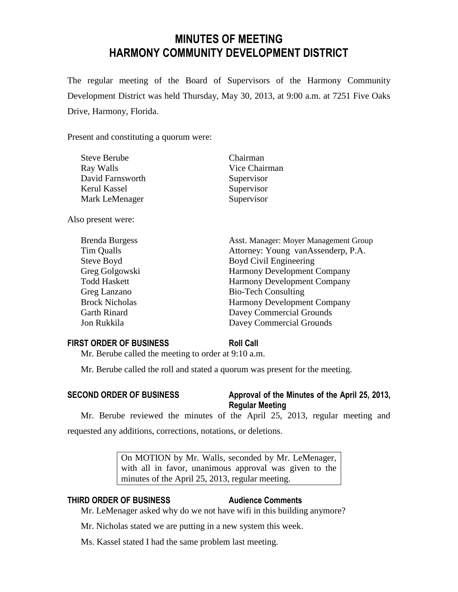# **MINUTES OF MEETING HARMONY COMMUNITY DEVELOPMENT DISTRICT**

The regular meeting of the Board of Supervisors of the Harmony Community Development District was held Thursday, May 30, 2013, at 9:00 a.m. at 7251 Five Oaks Drive, Harmony, Florida.

Present and constituting a quorum were:

| <b>Steve Berube</b>   | Chairman                              |
|-----------------------|---------------------------------------|
| Ray Walls             | Vice Chairman                         |
| David Farnsworth      | Supervisor                            |
| Kerul Kassel          | Supervisor                            |
| Mark LeMenager        | Supervisor                            |
| Also present were:    |                                       |
| <b>Brenda Burgess</b> | Asst. Manager: Moyer Management Group |
| Tim Qualls            | Attorney: Young vanAssenderp, P.A.    |
| Steve Boyd            | Boyd Civil Engineering                |
| Greg Golgowski        | <b>Harmony Development Company</b>    |
| <b>Todd Haskett</b>   | <b>Harmony Development Company</b>    |
| Greg Lanzano          | <b>Bio-Tech Consulting</b>            |
| <b>Brock Nicholas</b> | Harmony Development Company           |
| <b>Garth Rinard</b>   | Davey Commercial Grounds              |
| Jon Rukkila           | Davey Commercial Grounds              |

### **FIRST ORDER OF BUSINESS Roll Call**

Mr. Berube called the meeting to order at 9:10 a.m.

Mr. Berube called the roll and stated a quorum was present for the meeting.

### **SECOND ORDER OF BUSINESS Approval of the Minutes of the April 25, 2013, Regular Meeting**

Mr. Berube reviewed the minutes of the April 25, 2013, regular meeting and requested any additions, corrections, notations, or deletions.

> On MOTION by Mr. Walls, seconded by Mr. LeMenager, with all in favor, unanimous approval was given to the minutes of the April 25, 2013, regular meeting.

### **THIRD ORDER OF BUSINESS Audience Comments**

Mr. LeMenager asked why do we not have wifi in this building anymore?

Mr. Nicholas stated we are putting in a new system this week.

Ms. Kassel stated I had the same problem last meeting.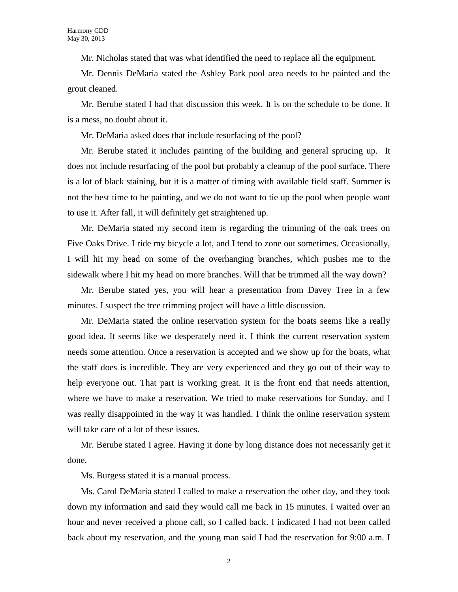Mr. Nicholas stated that was what identified the need to replace all the equipment.

Mr. Dennis DeMaria stated the Ashley Park pool area needs to be painted and the grout cleaned.

Mr. Berube stated I had that discussion this week. It is on the schedule to be done. It is a mess, no doubt about it.

Mr. DeMaria asked does that include resurfacing of the pool?

Mr. Berube stated it includes painting of the building and general sprucing up. It does not include resurfacing of the pool but probably a cleanup of the pool surface. There is a lot of black staining, but it is a matter of timing with available field staff. Summer is not the best time to be painting, and we do not want to tie up the pool when people want to use it. After fall, it will definitely get straightened up.

Mr. DeMaria stated my second item is regarding the trimming of the oak trees on Five Oaks Drive. I ride my bicycle a lot, and I tend to zone out sometimes. Occasionally, I will hit my head on some of the overhanging branches, which pushes me to the sidewalk where I hit my head on more branches. Will that be trimmed all the way down?

Mr. Berube stated yes, you will hear a presentation from Davey Tree in a few minutes. I suspect the tree trimming project will have a little discussion.

Mr. DeMaria stated the online reservation system for the boats seems like a really good idea. It seems like we desperately need it. I think the current reservation system needs some attention. Once a reservation is accepted and we show up for the boats, what the staff does is incredible. They are very experienced and they go out of their way to help everyone out. That part is working great. It is the front end that needs attention, where we have to make a reservation. We tried to make reservations for Sunday, and I was really disappointed in the way it was handled. I think the online reservation system will take care of a lot of these issues.

Mr. Berube stated I agree. Having it done by long distance does not necessarily get it done.

Ms. Burgess stated it is a manual process.

Ms. Carol DeMaria stated I called to make a reservation the other day, and they took down my information and said they would call me back in 15 minutes. I waited over an hour and never received a phone call, so I called back. I indicated I had not been called back about my reservation, and the young man said I had the reservation for 9:00 a.m. I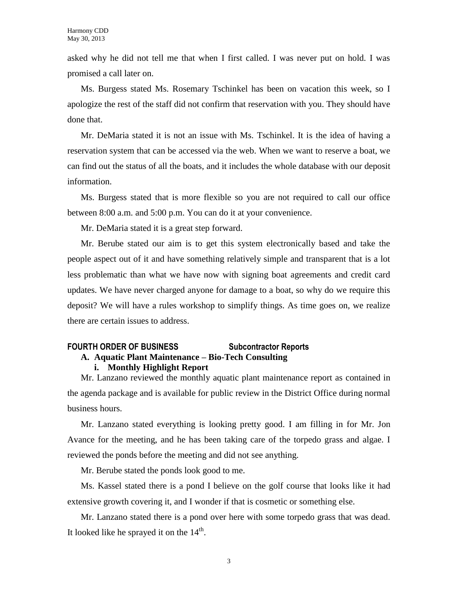asked why he did not tell me that when I first called. I was never put on hold. I was promised a call later on.

Ms. Burgess stated Ms. Rosemary Tschinkel has been on vacation this week, so I apologize the rest of the staff did not confirm that reservation with you. They should have done that.

Mr. DeMaria stated it is not an issue with Ms. Tschinkel. It is the idea of having a reservation system that can be accessed via the web. When we want to reserve a boat, we can find out the status of all the boats, and it includes the whole database with our deposit information.

Ms. Burgess stated that is more flexible so you are not required to call our office between 8:00 a.m. and 5:00 p.m. You can do it at your convenience.

Mr. DeMaria stated it is a great step forward.

Mr. Berube stated our aim is to get this system electronically based and take the people aspect out of it and have something relatively simple and transparent that is a lot less problematic than what we have now with signing boat agreements and credit card updates. We have never charged anyone for damage to a boat, so why do we require this deposit? We will have a rules workshop to simplify things. As time goes on, we realize there are certain issues to address.

## **FOURTH ORDER OF BUSINESS Subcontractor Reports**

### **A. Aquatic Plant Maintenance – Bio-Tech Consulting i. Monthly Highlight Report**

Mr. Lanzano reviewed the monthly aquatic plant maintenance report as contained in the agenda package and is available for public review in the District Office during normal business hours.

Mr. Lanzano stated everything is looking pretty good. I am filling in for Mr. Jon Avance for the meeting, and he has been taking care of the torpedo grass and algae. I reviewed the ponds before the meeting and did not see anything.

Mr. Berube stated the ponds look good to me.

Ms. Kassel stated there is a pond I believe on the golf course that looks like it had extensive growth covering it, and I wonder if that is cosmetic or something else.

Mr. Lanzano stated there is a pond over here with some torpedo grass that was dead. It looked like he sprayed it on the  $14<sup>th</sup>$ .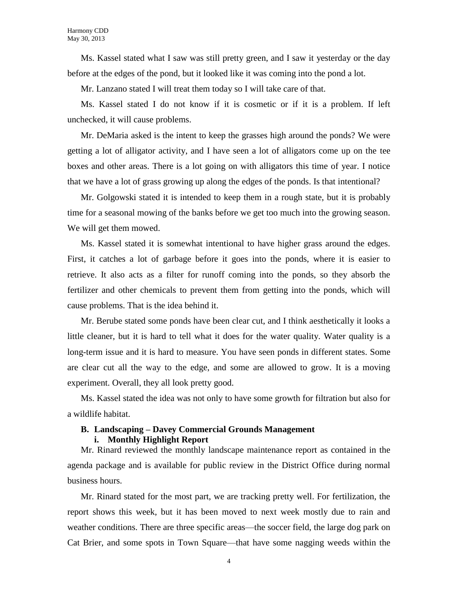Ms. Kassel stated what I saw was still pretty green, and I saw it yesterday or the day before at the edges of the pond, but it looked like it was coming into the pond a lot.

Mr. Lanzano stated I will treat them today so I will take care of that.

Ms. Kassel stated I do not know if it is cosmetic or if it is a problem. If left unchecked, it will cause problems.

Mr. DeMaria asked is the intent to keep the grasses high around the ponds? We were getting a lot of alligator activity, and I have seen a lot of alligators come up on the tee boxes and other areas. There is a lot going on with alligators this time of year. I notice that we have a lot of grass growing up along the edges of the ponds. Is that intentional?

Mr. Golgowski stated it is intended to keep them in a rough state, but it is probably time for a seasonal mowing of the banks before we get too much into the growing season. We will get them mowed.

Ms. Kassel stated it is somewhat intentional to have higher grass around the edges. First, it catches a lot of garbage before it goes into the ponds, where it is easier to retrieve. It also acts as a filter for runoff coming into the ponds, so they absorb the fertilizer and other chemicals to prevent them from getting into the ponds, which will cause problems. That is the idea behind it.

Mr. Berube stated some ponds have been clear cut, and I think aesthetically it looks a little cleaner, but it is hard to tell what it does for the water quality. Water quality is a long-term issue and it is hard to measure. You have seen ponds in different states. Some are clear cut all the way to the edge, and some are allowed to grow. It is a moving experiment. Overall, they all look pretty good.

Ms. Kassel stated the idea was not only to have some growth for filtration but also for a wildlife habitat.

# **B. Landscaping – Davey Commercial Grounds Management**

### **i. Monthly Highlight Report**

Mr. Rinard reviewed the monthly landscape maintenance report as contained in the agenda package and is available for public review in the District Office during normal business hours.

Mr. Rinard stated for the most part, we are tracking pretty well. For fertilization, the report shows this week, but it has been moved to next week mostly due to rain and weather conditions. There are three specific areas—the soccer field, the large dog park on Cat Brier, and some spots in Town Square—that have some nagging weeds within the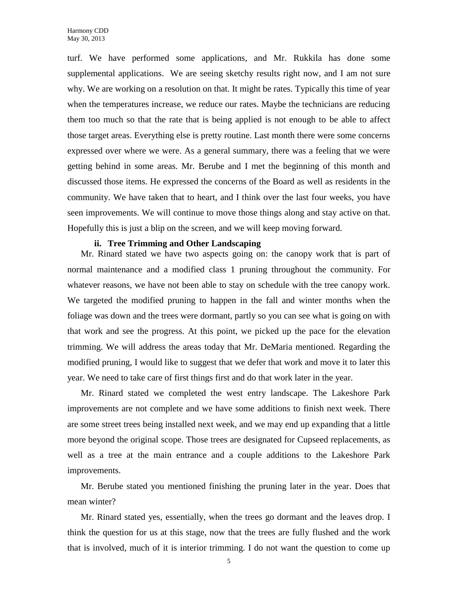turf. We have performed some applications, and Mr. Rukkila has done some supplemental applications. We are seeing sketchy results right now, and I am not sure why. We are working on a resolution on that. It might be rates. Typically this time of year when the temperatures increase, we reduce our rates. Maybe the technicians are reducing them too much so that the rate that is being applied is not enough to be able to affect those target areas. Everything else is pretty routine. Last month there were some concerns expressed over where we were. As a general summary, there was a feeling that we were getting behind in some areas. Mr. Berube and I met the beginning of this month and discussed those items. He expressed the concerns of the Board as well as residents in the community. We have taken that to heart, and I think over the last four weeks, you have seen improvements. We will continue to move those things along and stay active on that. Hopefully this is just a blip on the screen, and we will keep moving forward.

### **ii. Tree Trimming and Other Landscaping**

Mr. Rinard stated we have two aspects going on: the canopy work that is part of normal maintenance and a modified class 1 pruning throughout the community. For whatever reasons, we have not been able to stay on schedule with the tree canopy work. We targeted the modified pruning to happen in the fall and winter months when the foliage was down and the trees were dormant, partly so you can see what is going on with that work and see the progress. At this point, we picked up the pace for the elevation trimming. We will address the areas today that Mr. DeMaria mentioned. Regarding the modified pruning, I would like to suggest that we defer that work and move it to later this year. We need to take care of first things first and do that work later in the year.

Mr. Rinard stated we completed the west entry landscape. The Lakeshore Park improvements are not complete and we have some additions to finish next week. There are some street trees being installed next week, and we may end up expanding that a little more beyond the original scope. Those trees are designated for Cupseed replacements, as well as a tree at the main entrance and a couple additions to the Lakeshore Park improvements.

Mr. Berube stated you mentioned finishing the pruning later in the year. Does that mean winter?

Mr. Rinard stated yes, essentially, when the trees go dormant and the leaves drop. I think the question for us at this stage, now that the trees are fully flushed and the work that is involved, much of it is interior trimming. I do not want the question to come up

5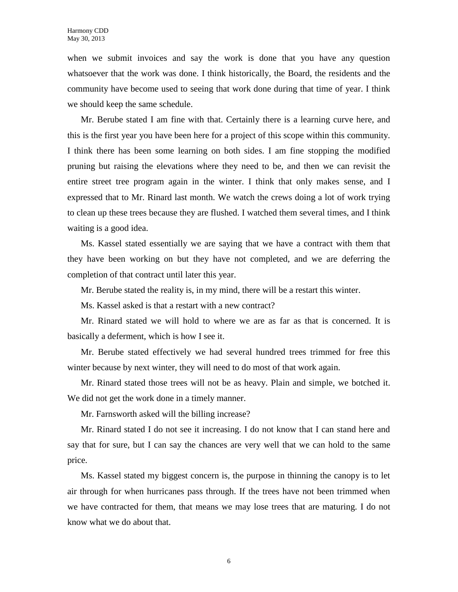when we submit invoices and say the work is done that you have any question whatsoever that the work was done. I think historically, the Board, the residents and the community have become used to seeing that work done during that time of year. I think we should keep the same schedule.

Mr. Berube stated I am fine with that. Certainly there is a learning curve here, and this is the first year you have been here for a project of this scope within this community. I think there has been some learning on both sides. I am fine stopping the modified pruning but raising the elevations where they need to be, and then we can revisit the entire street tree program again in the winter. I think that only makes sense, and I expressed that to Mr. Rinard last month. We watch the crews doing a lot of work trying to clean up these trees because they are flushed. I watched them several times, and I think waiting is a good idea.

Ms. Kassel stated essentially we are saying that we have a contract with them that they have been working on but they have not completed, and we are deferring the completion of that contract until later this year.

Mr. Berube stated the reality is, in my mind, there will be a restart this winter.

Ms. Kassel asked is that a restart with a new contract?

Mr. Rinard stated we will hold to where we are as far as that is concerned. It is basically a deferment, which is how I see it.

Mr. Berube stated effectively we had several hundred trees trimmed for free this winter because by next winter, they will need to do most of that work again.

Mr. Rinard stated those trees will not be as heavy. Plain and simple, we botched it. We did not get the work done in a timely manner.

Mr. Farnsworth asked will the billing increase?

Mr. Rinard stated I do not see it increasing. I do not know that I can stand here and say that for sure, but I can say the chances are very well that we can hold to the same price.

Ms. Kassel stated my biggest concern is, the purpose in thinning the canopy is to let air through for when hurricanes pass through. If the trees have not been trimmed when we have contracted for them, that means we may lose trees that are maturing. I do not know what we do about that.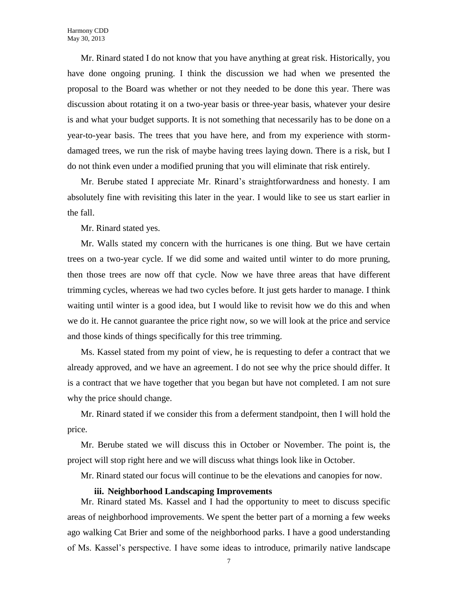Mr. Rinard stated I do not know that you have anything at great risk. Historically, you have done ongoing pruning. I think the discussion we had when we presented the proposal to the Board was whether or not they needed to be done this year. There was discussion about rotating it on a two-year basis or three-year basis, whatever your desire is and what your budget supports. It is not something that necessarily has to be done on a year-to-year basis. The trees that you have here, and from my experience with stormdamaged trees, we run the risk of maybe having trees laying down. There is a risk, but I do not think even under a modified pruning that you will eliminate that risk entirely.

Mr. Berube stated I appreciate Mr. Rinard's straightforwardness and honesty. I am absolutely fine with revisiting this later in the year. I would like to see us start earlier in the fall.

Mr. Rinard stated yes.

Mr. Walls stated my concern with the hurricanes is one thing. But we have certain trees on a two-year cycle. If we did some and waited until winter to do more pruning, then those trees are now off that cycle. Now we have three areas that have different trimming cycles, whereas we had two cycles before. It just gets harder to manage. I think waiting until winter is a good idea, but I would like to revisit how we do this and when we do it. He cannot guarantee the price right now, so we will look at the price and service and those kinds of things specifically for this tree trimming.

Ms. Kassel stated from my point of view, he is requesting to defer a contract that we already approved, and we have an agreement. I do not see why the price should differ. It is a contract that we have together that you began but have not completed. I am not sure why the price should change.

Mr. Rinard stated if we consider this from a deferment standpoint, then I will hold the price.

Mr. Berube stated we will discuss this in October or November. The point is, the project will stop right here and we will discuss what things look like in October.

Mr. Rinard stated our focus will continue to be the elevations and canopies for now.

### **iii. Neighborhood Landscaping Improvements**

Mr. Rinard stated Ms. Kassel and I had the opportunity to meet to discuss specific areas of neighborhood improvements. We spent the better part of a morning a few weeks ago walking Cat Brier and some of the neighborhood parks. I have a good understanding of Ms. Kassel's perspective. I have some ideas to introduce, primarily native landscape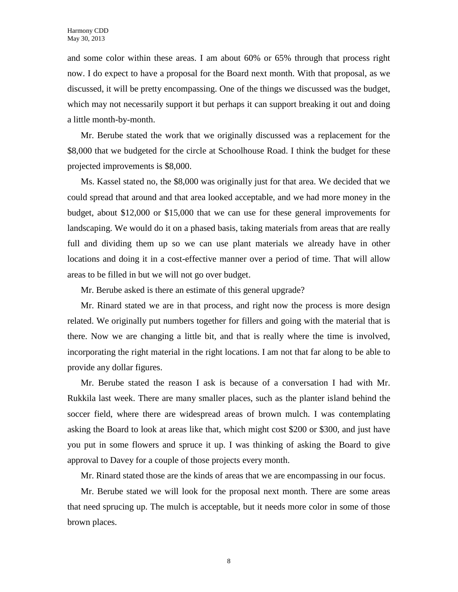and some color within these areas. I am about 60% or 65% through that process right now. I do expect to have a proposal for the Board next month. With that proposal, as we discussed, it will be pretty encompassing. One of the things we discussed was the budget, which may not necessarily support it but perhaps it can support breaking it out and doing a little month-by-month.

Mr. Berube stated the work that we originally discussed was a replacement for the \$8,000 that we budgeted for the circle at Schoolhouse Road. I think the budget for these projected improvements is \$8,000.

Ms. Kassel stated no, the \$8,000 was originally just for that area. We decided that we could spread that around and that area looked acceptable, and we had more money in the budget, about \$12,000 or \$15,000 that we can use for these general improvements for landscaping. We would do it on a phased basis, taking materials from areas that are really full and dividing them up so we can use plant materials we already have in other locations and doing it in a cost-effective manner over a period of time. That will allow areas to be filled in but we will not go over budget.

Mr. Berube asked is there an estimate of this general upgrade?

Mr. Rinard stated we are in that process, and right now the process is more design related. We originally put numbers together for fillers and going with the material that is there. Now we are changing a little bit, and that is really where the time is involved, incorporating the right material in the right locations. I am not that far along to be able to provide any dollar figures.

Mr. Berube stated the reason I ask is because of a conversation I had with Mr. Rukkila last week. There are many smaller places, such as the planter island behind the soccer field, where there are widespread areas of brown mulch. I was contemplating asking the Board to look at areas like that, which might cost \$200 or \$300, and just have you put in some flowers and spruce it up. I was thinking of asking the Board to give approval to Davey for a couple of those projects every month.

Mr. Rinard stated those are the kinds of areas that we are encompassing in our focus.

Mr. Berube stated we will look for the proposal next month. There are some areas that need sprucing up. The mulch is acceptable, but it needs more color in some of those brown places.

8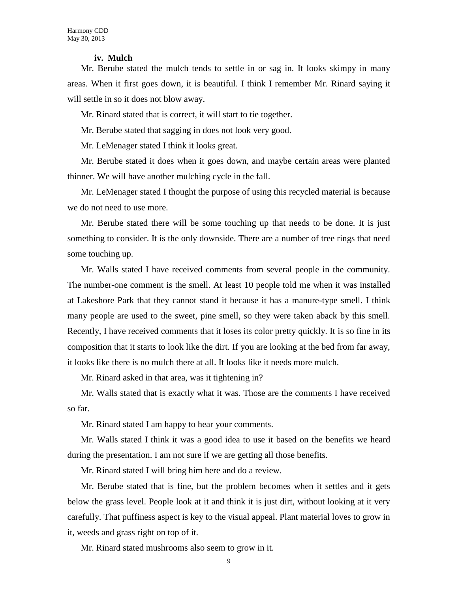### **iv. Mulch**

Mr. Berube stated the mulch tends to settle in or sag in. It looks skimpy in many areas. When it first goes down, it is beautiful. I think I remember Mr. Rinard saying it will settle in so it does not blow away.

Mr. Rinard stated that is correct, it will start to tie together.

Mr. Berube stated that sagging in does not look very good.

Mr. LeMenager stated I think it looks great.

Mr. Berube stated it does when it goes down, and maybe certain areas were planted thinner. We will have another mulching cycle in the fall.

Mr. LeMenager stated I thought the purpose of using this recycled material is because we do not need to use more.

Mr. Berube stated there will be some touching up that needs to be done. It is just something to consider. It is the only downside. There are a number of tree rings that need some touching up.

Mr. Walls stated I have received comments from several people in the community. The number-one comment is the smell. At least 10 people told me when it was installed at Lakeshore Park that they cannot stand it because it has a manure-type smell. I think many people are used to the sweet, pine smell, so they were taken aback by this smell. Recently, I have received comments that it loses its color pretty quickly. It is so fine in its composition that it starts to look like the dirt. If you are looking at the bed from far away, it looks like there is no mulch there at all. It looks like it needs more mulch.

Mr. Rinard asked in that area, was it tightening in?

Mr. Walls stated that is exactly what it was. Those are the comments I have received so far.

Mr. Rinard stated I am happy to hear your comments.

Mr. Walls stated I think it was a good idea to use it based on the benefits we heard during the presentation. I am not sure if we are getting all those benefits.

Mr. Rinard stated I will bring him here and do a review.

Mr. Berube stated that is fine, but the problem becomes when it settles and it gets below the grass level. People look at it and think it is just dirt, without looking at it very carefully. That puffiness aspect is key to the visual appeal. Plant material loves to grow in it, weeds and grass right on top of it.

Mr. Rinard stated mushrooms also seem to grow in it.

9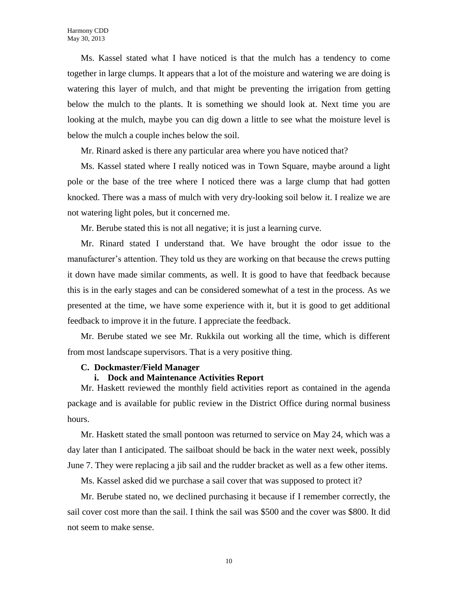Ms. Kassel stated what I have noticed is that the mulch has a tendency to come together in large clumps. It appears that a lot of the moisture and watering we are doing is watering this layer of mulch, and that might be preventing the irrigation from getting below the mulch to the plants. It is something we should look at. Next time you are looking at the mulch, maybe you can dig down a little to see what the moisture level is below the mulch a couple inches below the soil.

Mr. Rinard asked is there any particular area where you have noticed that?

Ms. Kassel stated where I really noticed was in Town Square, maybe around a light pole or the base of the tree where I noticed there was a large clump that had gotten knocked. There was a mass of mulch with very dry-looking soil below it. I realize we are not watering light poles, but it concerned me.

Mr. Berube stated this is not all negative; it is just a learning curve.

Mr. Rinard stated I understand that. We have brought the odor issue to the manufacturer's attention. They told us they are working on that because the crews putting it down have made similar comments, as well. It is good to have that feedback because this is in the early stages and can be considered somewhat of a test in the process. As we presented at the time, we have some experience with it, but it is good to get additional feedback to improve it in the future. I appreciate the feedback.

Mr. Berube stated we see Mr. Rukkila out working all the time, which is different from most landscape supervisors. That is a very positive thing.

### **C. Dockmaster/Field Manager**

### **i. Dock and Maintenance Activities Report**

Mr. Haskett reviewed the monthly field activities report as contained in the agenda package and is available for public review in the District Office during normal business hours.

Mr. Haskett stated the small pontoon was returned to service on May 24, which was a day later than I anticipated. The sailboat should be back in the water next week, possibly June 7. They were replacing a jib sail and the rudder bracket as well as a few other items.

Ms. Kassel asked did we purchase a sail cover that was supposed to protect it?

Mr. Berube stated no, we declined purchasing it because if I remember correctly, the sail cover cost more than the sail. I think the sail was \$500 and the cover was \$800. It did not seem to make sense.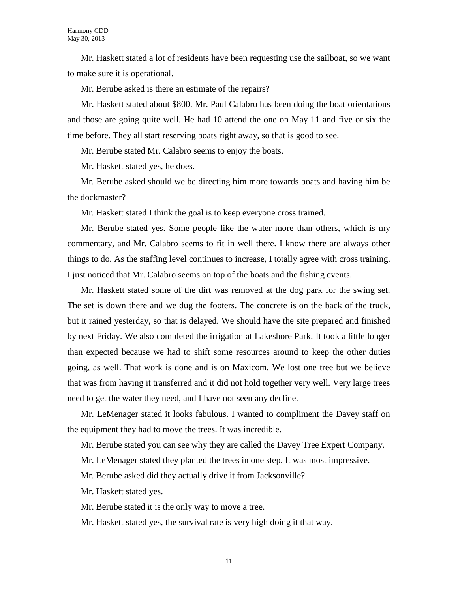Mr. Haskett stated a lot of residents have been requesting use the sailboat, so we want to make sure it is operational.

Mr. Berube asked is there an estimate of the repairs?

Mr. Haskett stated about \$800. Mr. Paul Calabro has been doing the boat orientations and those are going quite well. He had 10 attend the one on May 11 and five or six the time before. They all start reserving boats right away, so that is good to see.

Mr. Berube stated Mr. Calabro seems to enjoy the boats.

Mr. Haskett stated yes, he does.

Mr. Berube asked should we be directing him more towards boats and having him be the dockmaster?

Mr. Haskett stated I think the goal is to keep everyone cross trained.

Mr. Berube stated yes. Some people like the water more than others, which is my commentary, and Mr. Calabro seems to fit in well there. I know there are always other things to do. As the staffing level continues to increase, I totally agree with cross training. I just noticed that Mr. Calabro seems on top of the boats and the fishing events.

Mr. Haskett stated some of the dirt was removed at the dog park for the swing set. The set is down there and we dug the footers. The concrete is on the back of the truck, but it rained yesterday, so that is delayed. We should have the site prepared and finished by next Friday. We also completed the irrigation at Lakeshore Park. It took a little longer than expected because we had to shift some resources around to keep the other duties going, as well. That work is done and is on Maxicom. We lost one tree but we believe that was from having it transferred and it did not hold together very well. Very large trees need to get the water they need, and I have not seen any decline.

Mr. LeMenager stated it looks fabulous. I wanted to compliment the Davey staff on the equipment they had to move the trees. It was incredible.

Mr. Berube stated you can see why they are called the Davey Tree Expert Company.

Mr. LeMenager stated they planted the trees in one step. It was most impressive.

Mr. Berube asked did they actually drive it from Jacksonville?

Mr. Haskett stated yes.

Mr. Berube stated it is the only way to move a tree.

Mr. Haskett stated yes, the survival rate is very high doing it that way.

11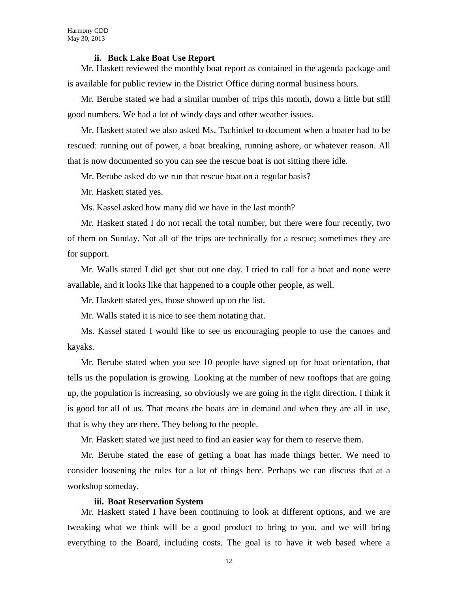### **ii. Buck Lake Boat Use Report**

Mr. Haskett reviewed the monthly boat report as contained in the agenda package and is available for public review in the District Office during normal business hours.

Mr. Berube stated we had a similar number of trips this month, down a little but still good numbers. We had a lot of windy days and other weather issues.

Mr. Haskett stated we also asked Ms. Tschinkel to document when a boater had to be rescued: running out of power, a boat breaking, running ashore, or whatever reason. All that is now documented so you can see the rescue boat is not sitting there idle.

Mr. Berube asked do we run that rescue boat on a regular basis?

Mr. Haskett stated yes.

Ms. Kassel asked how many did we have in the last month?

Mr. Haskett stated I do not recall the total number, but there were four recently, two of them on Sunday. Not all of the trips are technically for a rescue; sometimes they are for support.

Mr. Walls stated I did get shut out one day. I tried to call for a boat and none were available, and it looks like that happened to a couple other people, as well.

Mr. Haskett stated yes, those showed up on the list.

Mr. Walls stated it is nice to see them notating that.

Ms. Kassel stated I would like to see us encouraging people to use the canoes and kayaks.

Mr. Berube stated when you see 10 people have signed up for boat orientation, that tells us the population is growing. Looking at the number of new rooftops that are going up, the population is increasing, so obviously we are going in the right direction. I think it is good for all of us. That means the boats are in demand and when they are all in use, that is why they are there. They belong to the people.

Mr. Haskett stated we just need to find an easier way for them to reserve them.

Mr. Berube stated the ease of getting a boat has made things better. We need to consider loosening the rules for a lot of things here. Perhaps we can discuss that at a workshop someday.

### **iii. Boat Reservation System**

Mr. Haskett stated I have been continuing to look at different options, and we are tweaking what we think will be a good product to bring to you, and we will bring everything to the Board, including costs. The goal is to have it web based where a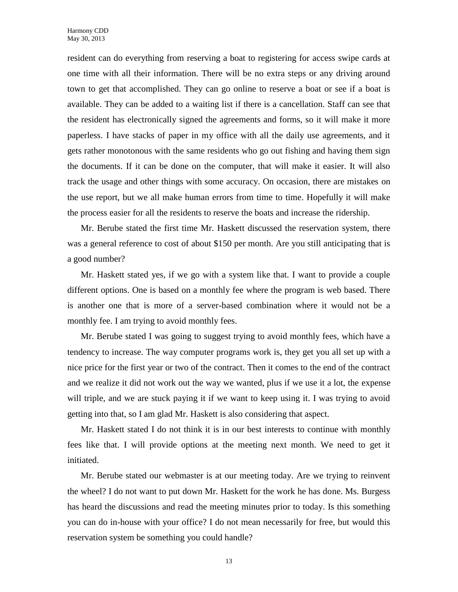resident can do everything from reserving a boat to registering for access swipe cards at one time with all their information. There will be no extra steps or any driving around town to get that accomplished. They can go online to reserve a boat or see if a boat is available. They can be added to a waiting list if there is a cancellation. Staff can see that the resident has electronically signed the agreements and forms, so it will make it more paperless. I have stacks of paper in my office with all the daily use agreements, and it gets rather monotonous with the same residents who go out fishing and having them sign the documents. If it can be done on the computer, that will make it easier. It will also track the usage and other things with some accuracy. On occasion, there are mistakes on the use report, but we all make human errors from time to time. Hopefully it will make the process easier for all the residents to reserve the boats and increase the ridership.

Mr. Berube stated the first time Mr. Haskett discussed the reservation system, there was a general reference to cost of about \$150 per month. Are you still anticipating that is a good number?

Mr. Haskett stated yes, if we go with a system like that. I want to provide a couple different options. One is based on a monthly fee where the program is web based. There is another one that is more of a server-based combination where it would not be a monthly fee. I am trying to avoid monthly fees.

Mr. Berube stated I was going to suggest trying to avoid monthly fees, which have a tendency to increase. The way computer programs work is, they get you all set up with a nice price for the first year or two of the contract. Then it comes to the end of the contract and we realize it did not work out the way we wanted, plus if we use it a lot, the expense will triple, and we are stuck paying it if we want to keep using it. I was trying to avoid getting into that, so I am glad Mr. Haskett is also considering that aspect.

Mr. Haskett stated I do not think it is in our best interests to continue with monthly fees like that. I will provide options at the meeting next month. We need to get it initiated.

Mr. Berube stated our webmaster is at our meeting today. Are we trying to reinvent the wheel? I do not want to put down Mr. Haskett for the work he has done. Ms. Burgess has heard the discussions and read the meeting minutes prior to today. Is this something you can do in-house with your office? I do not mean necessarily for free, but would this reservation system be something you could handle?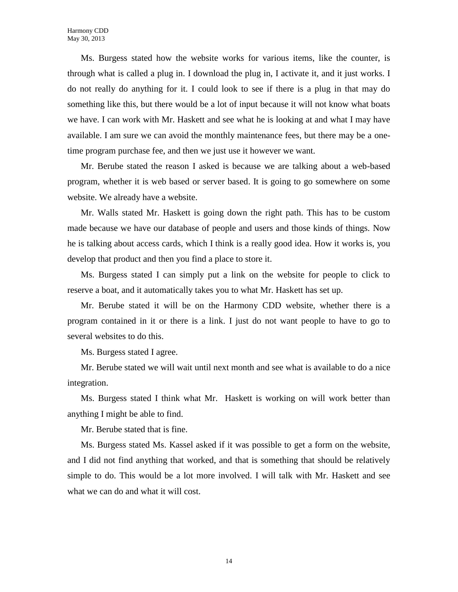Ms. Burgess stated how the website works for various items, like the counter, is through what is called a plug in. I download the plug in, I activate it, and it just works. I do not really do anything for it. I could look to see if there is a plug in that may do something like this, but there would be a lot of input because it will not know what boats we have. I can work with Mr. Haskett and see what he is looking at and what I may have available. I am sure we can avoid the monthly maintenance fees, but there may be a onetime program purchase fee, and then we just use it however we want.

Mr. Berube stated the reason I asked is because we are talking about a web-based program, whether it is web based or server based. It is going to go somewhere on some website. We already have a website.

Mr. Walls stated Mr. Haskett is going down the right path. This has to be custom made because we have our database of people and users and those kinds of things. Now he is talking about access cards, which I think is a really good idea. How it works is, you develop that product and then you find a place to store it.

Ms. Burgess stated I can simply put a link on the website for people to click to reserve a boat, and it automatically takes you to what Mr. Haskett has set up.

Mr. Berube stated it will be on the Harmony CDD website, whether there is a program contained in it or there is a link. I just do not want people to have to go to several websites to do this.

Ms. Burgess stated I agree.

Mr. Berube stated we will wait until next month and see what is available to do a nice integration.

Ms. Burgess stated I think what Mr. Haskett is working on will work better than anything I might be able to find.

Mr. Berube stated that is fine.

Ms. Burgess stated Ms. Kassel asked if it was possible to get a form on the website, and I did not find anything that worked, and that is something that should be relatively simple to do. This would be a lot more involved. I will talk with Mr. Haskett and see what we can do and what it will cost.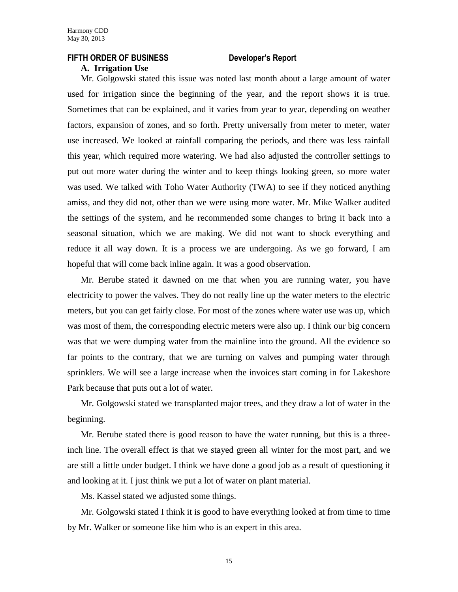### **FIFTH ORDER OF BUSINESS Developer's Report**

### **A. Irrigation Use**

Mr. Golgowski stated this issue was noted last month about a large amount of water used for irrigation since the beginning of the year, and the report shows it is true. Sometimes that can be explained, and it varies from year to year, depending on weather factors, expansion of zones, and so forth. Pretty universally from meter to meter, water use increased. We looked at rainfall comparing the periods, and there was less rainfall this year, which required more watering. We had also adjusted the controller settings to put out more water during the winter and to keep things looking green, so more water was used. We talked with Toho Water Authority (TWA) to see if they noticed anything amiss, and they did not, other than we were using more water. Mr. Mike Walker audited the settings of the system, and he recommended some changes to bring it back into a seasonal situation, which we are making. We did not want to shock everything and reduce it all way down. It is a process we are undergoing. As we go forward, I am hopeful that will come back inline again. It was a good observation.

Mr. Berube stated it dawned on me that when you are running water, you have electricity to power the valves. They do not really line up the water meters to the electric meters, but you can get fairly close. For most of the zones where water use was up, which was most of them, the corresponding electric meters were also up. I think our big concern was that we were dumping water from the mainline into the ground. All the evidence so far points to the contrary, that we are turning on valves and pumping water through sprinklers. We will see a large increase when the invoices start coming in for Lakeshore Park because that puts out a lot of water.

Mr. Golgowski stated we transplanted major trees, and they draw a lot of water in the beginning.

Mr. Berube stated there is good reason to have the water running, but this is a threeinch line. The overall effect is that we stayed green all winter for the most part, and we are still a little under budget. I think we have done a good job as a result of questioning it and looking at it. I just think we put a lot of water on plant material.

Ms. Kassel stated we adjusted some things.

Mr. Golgowski stated I think it is good to have everything looked at from time to time by Mr. Walker or someone like him who is an expert in this area.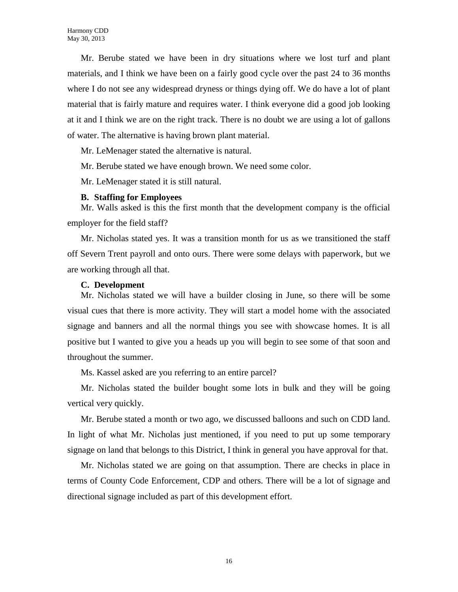Mr. Berube stated we have been in dry situations where we lost turf and plant materials, and I think we have been on a fairly good cycle over the past 24 to 36 months where I do not see any widespread dryness or things dying off. We do have a lot of plant material that is fairly mature and requires water. I think everyone did a good job looking at it and I think we are on the right track. There is no doubt we are using a lot of gallons of water. The alternative is having brown plant material.

Mr. LeMenager stated the alternative is natural.

Mr. Berube stated we have enough brown. We need some color.

Mr. LeMenager stated it is still natural.

### **B. Staffing for Employees**

Mr. Walls asked is this the first month that the development company is the official employer for the field staff?

Mr. Nicholas stated yes. It was a transition month for us as we transitioned the staff off Severn Trent payroll and onto ours. There were some delays with paperwork, but we are working through all that.

### **C. Development**

Mr. Nicholas stated we will have a builder closing in June, so there will be some visual cues that there is more activity. They will start a model home with the associated signage and banners and all the normal things you see with showcase homes. It is all positive but I wanted to give you a heads up you will begin to see some of that soon and throughout the summer.

Ms. Kassel asked are you referring to an entire parcel?

Mr. Nicholas stated the builder bought some lots in bulk and they will be going vertical very quickly.

Mr. Berube stated a month or two ago, we discussed balloons and such on CDD land. In light of what Mr. Nicholas just mentioned, if you need to put up some temporary signage on land that belongs to this District, I think in general you have approval for that.

Mr. Nicholas stated we are going on that assumption. There are checks in place in terms of County Code Enforcement, CDP and others. There will be a lot of signage and directional signage included as part of this development effort.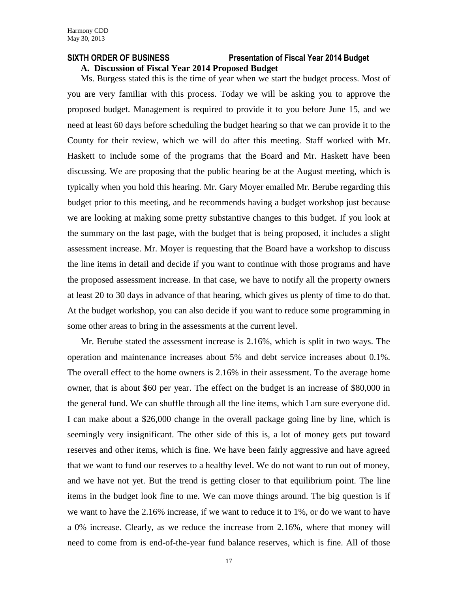# **SIXTH ORDER OF BUSINESS Presentation of Fiscal Year 2014 Budget**

# **A. Discussion of Fiscal Year 2014 Proposed Budget**

Ms. Burgess stated this is the time of year when we start the budget process. Most of you are very familiar with this process. Today we will be asking you to approve the proposed budget. Management is required to provide it to you before June 15, and we need at least 60 days before scheduling the budget hearing so that we can provide it to the County for their review, which we will do after this meeting. Staff worked with Mr. Haskett to include some of the programs that the Board and Mr. Haskett have been discussing. We are proposing that the public hearing be at the August meeting, which is typically when you hold this hearing. Mr. Gary Moyer emailed Mr. Berube regarding this budget prior to this meeting, and he recommends having a budget workshop just because we are looking at making some pretty substantive changes to this budget. If you look at the summary on the last page, with the budget that is being proposed, it includes a slight assessment increase. Mr. Moyer is requesting that the Board have a workshop to discuss the line items in detail and decide if you want to continue with those programs and have the proposed assessment increase. In that case, we have to notify all the property owners at least 20 to 30 days in advance of that hearing, which gives us plenty of time to do that. At the budget workshop, you can also decide if you want to reduce some programming in some other areas to bring in the assessments at the current level.

Mr. Berube stated the assessment increase is 2.16%, which is split in two ways. The operation and maintenance increases about 5% and debt service increases about 0.1%. The overall effect to the home owners is 2.16% in their assessment. To the average home owner, that is about \$60 per year. The effect on the budget is an increase of \$80,000 in the general fund. We can shuffle through all the line items, which I am sure everyone did. I can make about a \$26,000 change in the overall package going line by line, which is seemingly very insignificant. The other side of this is, a lot of money gets put toward reserves and other items, which is fine. We have been fairly aggressive and have agreed that we want to fund our reserves to a healthy level. We do not want to run out of money, and we have not yet. But the trend is getting closer to that equilibrium point. The line items in the budget look fine to me. We can move things around. The big question is if we want to have the 2.16% increase, if we want to reduce it to 1%, or do we want to have a 0% increase. Clearly, as we reduce the increase from 2.16%, where that money will need to come from is end-of-the-year fund balance reserves, which is fine. All of those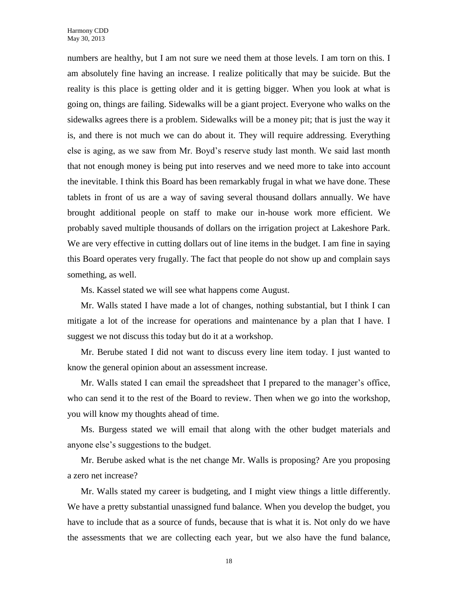numbers are healthy, but I am not sure we need them at those levels. I am torn on this. I am absolutely fine having an increase. I realize politically that may be suicide. But the reality is this place is getting older and it is getting bigger. When you look at what is going on, things are failing. Sidewalks will be a giant project. Everyone who walks on the sidewalks agrees there is a problem. Sidewalks will be a money pit; that is just the way it is, and there is not much we can do about it. They will require addressing. Everything else is aging, as we saw from Mr. Boyd's reserve study last month. We said last month that not enough money is being put into reserves and we need more to take into account the inevitable. I think this Board has been remarkably frugal in what we have done. These tablets in front of us are a way of saving several thousand dollars annually. We have brought additional people on staff to make our in-house work more efficient. We probably saved multiple thousands of dollars on the irrigation project at Lakeshore Park. We are very effective in cutting dollars out of line items in the budget. I am fine in saying this Board operates very frugally. The fact that people do not show up and complain says something, as well.

Ms. Kassel stated we will see what happens come August.

Mr. Walls stated I have made a lot of changes, nothing substantial, but I think I can mitigate a lot of the increase for operations and maintenance by a plan that I have. I suggest we not discuss this today but do it at a workshop.

Mr. Berube stated I did not want to discuss every line item today. I just wanted to know the general opinion about an assessment increase.

Mr. Walls stated I can email the spreadsheet that I prepared to the manager's office, who can send it to the rest of the Board to review. Then when we go into the workshop, you will know my thoughts ahead of time.

Ms. Burgess stated we will email that along with the other budget materials and anyone else's suggestions to the budget.

Mr. Berube asked what is the net change Mr. Walls is proposing? Are you proposing a zero net increase?

Mr. Walls stated my career is budgeting, and I might view things a little differently. We have a pretty substantial unassigned fund balance. When you develop the budget, you have to include that as a source of funds, because that is what it is. Not only do we have the assessments that we are collecting each year, but we also have the fund balance,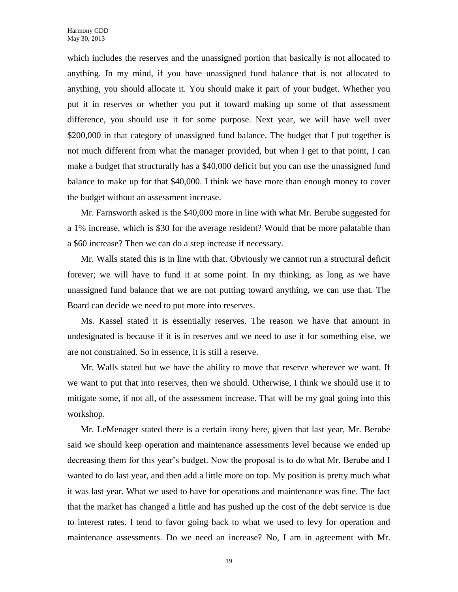which includes the reserves and the unassigned portion that basically is not allocated to anything. In my mind, if you have unassigned fund balance that is not allocated to anything, you should allocate it. You should make it part of your budget. Whether you put it in reserves or whether you put it toward making up some of that assessment difference, you should use it for some purpose. Next year, we will have well over \$200,000 in that category of unassigned fund balance. The budget that I put together is not much different from what the manager provided, but when I get to that point, I can make a budget that structurally has a \$40,000 deficit but you can use the unassigned fund balance to make up for that \$40,000. I think we have more than enough money to cover the budget without an assessment increase.

Mr. Farnsworth asked is the \$40,000 more in line with what Mr. Berube suggested for a 1% increase, which is \$30 for the average resident? Would that be more palatable than a \$60 increase? Then we can do a step increase if necessary.

Mr. Walls stated this is in line with that. Obviously we cannot run a structural deficit forever; we will have to fund it at some point. In my thinking, as long as we have unassigned fund balance that we are not putting toward anything, we can use that. The Board can decide we need to put more into reserves.

Ms. Kassel stated it is essentially reserves. The reason we have that amount in undesignated is because if it is in reserves and we need to use it for something else, we are not constrained. So in essence, it is still a reserve.

Mr. Walls stated but we have the ability to move that reserve wherever we want. If we want to put that into reserves, then we should. Otherwise, I think we should use it to mitigate some, if not all, of the assessment increase. That will be my goal going into this workshop.

Mr. LeMenager stated there is a certain irony here, given that last year, Mr. Berube said we should keep operation and maintenance assessments level because we ended up decreasing them for this year's budget. Now the proposal is to do what Mr. Berube and I wanted to do last year, and then add a little more on top. My position is pretty much what it was last year. What we used to have for operations and maintenance was fine. The fact that the market has changed a little and has pushed up the cost of the debt service is due to interest rates. I tend to favor going back to what we used to levy for operation and maintenance assessments. Do we need an increase? No, I am in agreement with Mr.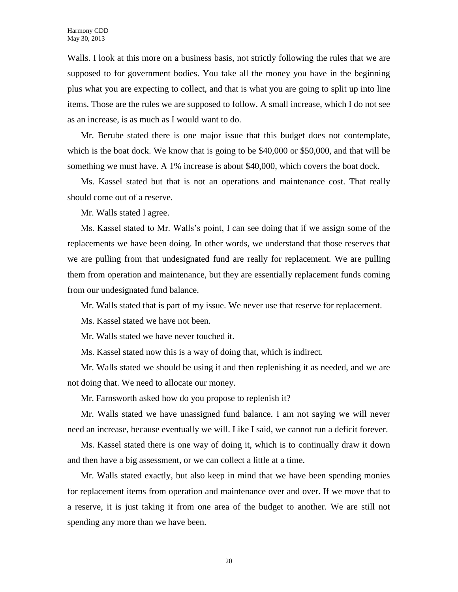Walls. I look at this more on a business basis, not strictly following the rules that we are supposed to for government bodies. You take all the money you have in the beginning plus what you are expecting to collect, and that is what you are going to split up into line items. Those are the rules we are supposed to follow. A small increase, which I do not see as an increase, is as much as I would want to do.

Mr. Berube stated there is one major issue that this budget does not contemplate, which is the boat dock. We know that is going to be \$40,000 or \$50,000, and that will be something we must have. A 1% increase is about \$40,000, which covers the boat dock.

Ms. Kassel stated but that is not an operations and maintenance cost. That really should come out of a reserve.

Mr. Walls stated I agree.

Ms. Kassel stated to Mr. Walls's point, I can see doing that if we assign some of the replacements we have been doing. In other words, we understand that those reserves that we are pulling from that undesignated fund are really for replacement. We are pulling them from operation and maintenance, but they are essentially replacement funds coming from our undesignated fund balance.

Mr. Walls stated that is part of my issue. We never use that reserve for replacement.

Ms. Kassel stated we have not been.

Mr. Walls stated we have never touched it.

Ms. Kassel stated now this is a way of doing that, which is indirect.

Mr. Walls stated we should be using it and then replenishing it as needed, and we are not doing that. We need to allocate our money.

Mr. Farnsworth asked how do you propose to replenish it?

Mr. Walls stated we have unassigned fund balance. I am not saying we will never need an increase, because eventually we will. Like I said, we cannot run a deficit forever.

Ms. Kassel stated there is one way of doing it, which is to continually draw it down and then have a big assessment, or we can collect a little at a time.

Mr. Walls stated exactly, but also keep in mind that we have been spending monies for replacement items from operation and maintenance over and over. If we move that to a reserve, it is just taking it from one area of the budget to another. We are still not spending any more than we have been.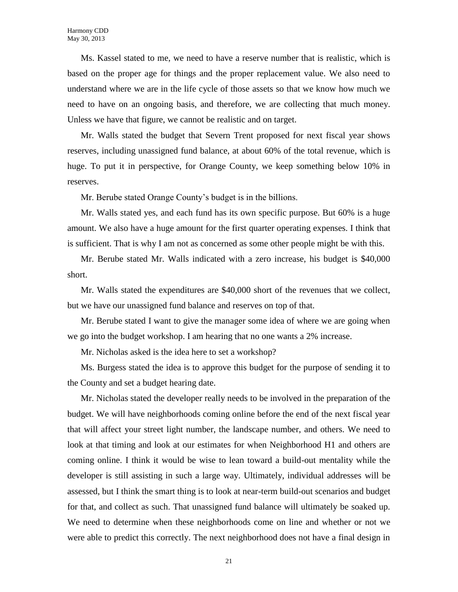Ms. Kassel stated to me, we need to have a reserve number that is realistic, which is based on the proper age for things and the proper replacement value. We also need to understand where we are in the life cycle of those assets so that we know how much we need to have on an ongoing basis, and therefore, we are collecting that much money. Unless we have that figure, we cannot be realistic and on target.

Mr. Walls stated the budget that Severn Trent proposed for next fiscal year shows reserves, including unassigned fund balance, at about 60% of the total revenue, which is huge. To put it in perspective, for Orange County, we keep something below 10% in reserves.

Mr. Berube stated Orange County's budget is in the billions.

Mr. Walls stated yes, and each fund has its own specific purpose. But 60% is a huge amount. We also have a huge amount for the first quarter operating expenses. I think that is sufficient. That is why I am not as concerned as some other people might be with this.

Mr. Berube stated Mr. Walls indicated with a zero increase, his budget is \$40,000 short.

Mr. Walls stated the expenditures are \$40,000 short of the revenues that we collect, but we have our unassigned fund balance and reserves on top of that.

Mr. Berube stated I want to give the manager some idea of where we are going when we go into the budget workshop. I am hearing that no one wants a 2% increase.

Mr. Nicholas asked is the idea here to set a workshop?

Ms. Burgess stated the idea is to approve this budget for the purpose of sending it to the County and set a budget hearing date.

Mr. Nicholas stated the developer really needs to be involved in the preparation of the budget. We will have neighborhoods coming online before the end of the next fiscal year that will affect your street light number, the landscape number, and others. We need to look at that timing and look at our estimates for when Neighborhood H1 and others are coming online. I think it would be wise to lean toward a build-out mentality while the developer is still assisting in such a large way. Ultimately, individual addresses will be assessed, but I think the smart thing is to look at near-term build-out scenarios and budget for that, and collect as such. That unassigned fund balance will ultimately be soaked up. We need to determine when these neighborhoods come on line and whether or not we were able to predict this correctly. The next neighborhood does not have a final design in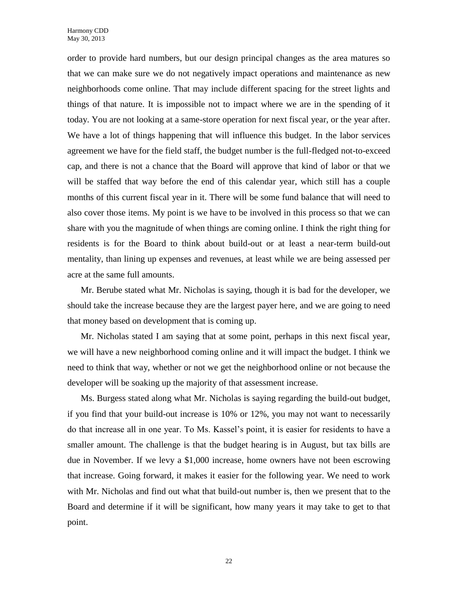order to provide hard numbers, but our design principal changes as the area matures so that we can make sure we do not negatively impact operations and maintenance as new neighborhoods come online. That may include different spacing for the street lights and things of that nature. It is impossible not to impact where we are in the spending of it today. You are not looking at a same-store operation for next fiscal year, or the year after. We have a lot of things happening that will influence this budget. In the labor services agreement we have for the field staff, the budget number is the full-fledged not-to-exceed cap, and there is not a chance that the Board will approve that kind of labor or that we will be staffed that way before the end of this calendar year, which still has a couple months of this current fiscal year in it. There will be some fund balance that will need to also cover those items. My point is we have to be involved in this process so that we can share with you the magnitude of when things are coming online. I think the right thing for residents is for the Board to think about build-out or at least a near-term build-out mentality, than lining up expenses and revenues, at least while we are being assessed per acre at the same full amounts.

Mr. Berube stated what Mr. Nicholas is saying, though it is bad for the developer, we should take the increase because they are the largest payer here, and we are going to need that money based on development that is coming up.

Mr. Nicholas stated I am saying that at some point, perhaps in this next fiscal year, we will have a new neighborhood coming online and it will impact the budget. I think we need to think that way, whether or not we get the neighborhood online or not because the developer will be soaking up the majority of that assessment increase.

Ms. Burgess stated along what Mr. Nicholas is saying regarding the build-out budget, if you find that your build-out increase is 10% or 12%, you may not want to necessarily do that increase all in one year. To Ms. Kassel's point, it is easier for residents to have a smaller amount. The challenge is that the budget hearing is in August, but tax bills are due in November. If we levy a \$1,000 increase, home owners have not been escrowing that increase. Going forward, it makes it easier for the following year. We need to work with Mr. Nicholas and find out what that build-out number is, then we present that to the Board and determine if it will be significant, how many years it may take to get to that point.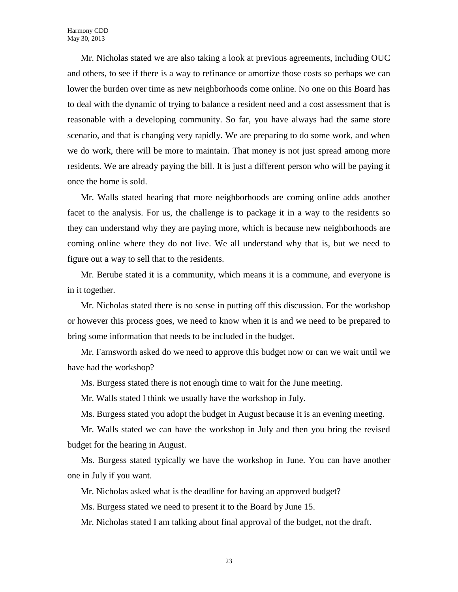Mr. Nicholas stated we are also taking a look at previous agreements, including OUC and others, to see if there is a way to refinance or amortize those costs so perhaps we can lower the burden over time as new neighborhoods come online. No one on this Board has to deal with the dynamic of trying to balance a resident need and a cost assessment that is reasonable with a developing community. So far, you have always had the same store scenario, and that is changing very rapidly. We are preparing to do some work, and when we do work, there will be more to maintain. That money is not just spread among more residents. We are already paying the bill. It is just a different person who will be paying it once the home is sold.

Mr. Walls stated hearing that more neighborhoods are coming online adds another facet to the analysis. For us, the challenge is to package it in a way to the residents so they can understand why they are paying more, which is because new neighborhoods are coming online where they do not live. We all understand why that is, but we need to figure out a way to sell that to the residents.

Mr. Berube stated it is a community, which means it is a commune, and everyone is in it together.

Mr. Nicholas stated there is no sense in putting off this discussion. For the workshop or however this process goes, we need to know when it is and we need to be prepared to bring some information that needs to be included in the budget.

Mr. Farnsworth asked do we need to approve this budget now or can we wait until we have had the workshop?

Ms. Burgess stated there is not enough time to wait for the June meeting.

Mr. Walls stated I think we usually have the workshop in July.

Ms. Burgess stated you adopt the budget in August because it is an evening meeting.

Mr. Walls stated we can have the workshop in July and then you bring the revised budget for the hearing in August.

Ms. Burgess stated typically we have the workshop in June. You can have another one in July if you want.

Mr. Nicholas asked what is the deadline for having an approved budget?

Ms. Burgess stated we need to present it to the Board by June 15.

Mr. Nicholas stated I am talking about final approval of the budget, not the draft.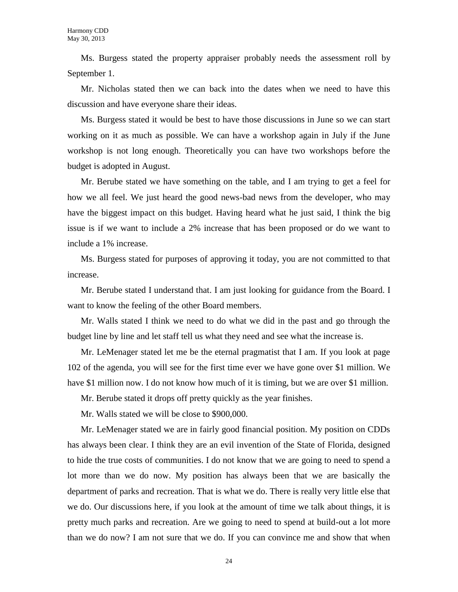Ms. Burgess stated the property appraiser probably needs the assessment roll by September 1.

Mr. Nicholas stated then we can back into the dates when we need to have this discussion and have everyone share their ideas.

Ms. Burgess stated it would be best to have those discussions in June so we can start working on it as much as possible. We can have a workshop again in July if the June workshop is not long enough. Theoretically you can have two workshops before the budget is adopted in August.

Mr. Berube stated we have something on the table, and I am trying to get a feel for how we all feel. We just heard the good news-bad news from the developer, who may have the biggest impact on this budget. Having heard what he just said, I think the big issue is if we want to include a 2% increase that has been proposed or do we want to include a 1% increase.

Ms. Burgess stated for purposes of approving it today, you are not committed to that increase.

Mr. Berube stated I understand that. I am just looking for guidance from the Board. I want to know the feeling of the other Board members.

Mr. Walls stated I think we need to do what we did in the past and go through the budget line by line and let staff tell us what they need and see what the increase is.

Mr. LeMenager stated let me be the eternal pragmatist that I am. If you look at page 102 of the agenda, you will see for the first time ever we have gone over \$1 million. We have \$1 million now. I do not know how much of it is timing, but we are over \$1 million.

Mr. Berube stated it drops off pretty quickly as the year finishes.

Mr. Walls stated we will be close to \$900,000.

Mr. LeMenager stated we are in fairly good financial position. My position on CDDs has always been clear. I think they are an evil invention of the State of Florida, designed to hide the true costs of communities. I do not know that we are going to need to spend a lot more than we do now. My position has always been that we are basically the department of parks and recreation. That is what we do. There is really very little else that we do. Our discussions here, if you look at the amount of time we talk about things, it is pretty much parks and recreation. Are we going to need to spend at build-out a lot more than we do now? I am not sure that we do. If you can convince me and show that when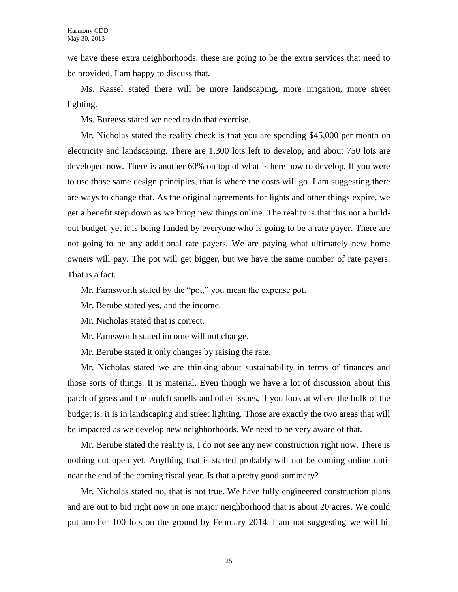we have these extra neighborhoods, these are going to be the extra services that need to be provided, I am happy to discuss that.

Ms. Kassel stated there will be more landscaping, more irrigation, more street lighting.

Ms. Burgess stated we need to do that exercise.

Mr. Nicholas stated the reality check is that you are spending \$45,000 per month on electricity and landscaping. There are 1,300 lots left to develop, and about 750 lots are developed now. There is another 60% on top of what is here now to develop. If you were to use those same design principles, that is where the costs will go. I am suggesting there are ways to change that. As the original agreements for lights and other things expire, we get a benefit step down as we bring new things online. The reality is that this not a buildout budget, yet it is being funded by everyone who is going to be a rate payer. There are not going to be any additional rate payers. We are paying what ultimately new home owners will pay. The pot will get bigger, but we have the same number of rate payers. That is a fact.

Mr. Farnsworth stated by the "pot," you mean the expense pot.

Mr. Berube stated yes, and the income.

Mr. Nicholas stated that is correct.

- Mr. Farnsworth stated income will not change.
- Mr. Berube stated it only changes by raising the rate.

Mr. Nicholas stated we are thinking about sustainability in terms of finances and those sorts of things. It is material. Even though we have a lot of discussion about this patch of grass and the mulch smells and other issues, if you look at where the bulk of the budget is, it is in landscaping and street lighting. Those are exactly the two areas that will be impacted as we develop new neighborhoods. We need to be very aware of that.

Mr. Berube stated the reality is, I do not see any new construction right now. There is nothing cut open yet. Anything that is started probably will not be coming online until near the end of the coming fiscal year. Is that a pretty good summary?

Mr. Nicholas stated no, that is not true. We have fully engineered construction plans and are out to bid right now in one major neighborhood that is about 20 acres. We could put another 100 lots on the ground by February 2014. I am not suggesting we will hit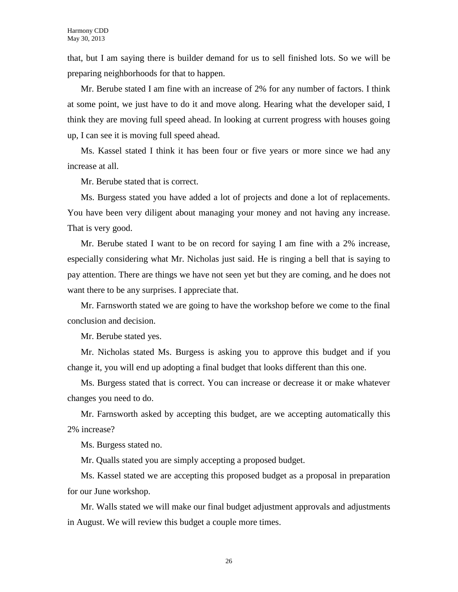that, but I am saying there is builder demand for us to sell finished lots. So we will be preparing neighborhoods for that to happen.

Mr. Berube stated I am fine with an increase of 2% for any number of factors. I think at some point, we just have to do it and move along. Hearing what the developer said, I think they are moving full speed ahead. In looking at current progress with houses going up, I can see it is moving full speed ahead.

Ms. Kassel stated I think it has been four or five years or more since we had any increase at all.

Mr. Berube stated that is correct.

Ms. Burgess stated you have added a lot of projects and done a lot of replacements. You have been very diligent about managing your money and not having any increase. That is very good.

Mr. Berube stated I want to be on record for saying I am fine with a 2% increase, especially considering what Mr. Nicholas just said. He is ringing a bell that is saying to pay attention. There are things we have not seen yet but they are coming, and he does not want there to be any surprises. I appreciate that.

Mr. Farnsworth stated we are going to have the workshop before we come to the final conclusion and decision.

Mr. Berube stated yes.

Mr. Nicholas stated Ms. Burgess is asking you to approve this budget and if you change it, you will end up adopting a final budget that looks different than this one.

Ms. Burgess stated that is correct. You can increase or decrease it or make whatever changes you need to do.

Mr. Farnsworth asked by accepting this budget, are we accepting automatically this 2% increase?

Ms. Burgess stated no.

Mr. Qualls stated you are simply accepting a proposed budget.

Ms. Kassel stated we are accepting this proposed budget as a proposal in preparation for our June workshop.

Mr. Walls stated we will make our final budget adjustment approvals and adjustments in August. We will review this budget a couple more times.

26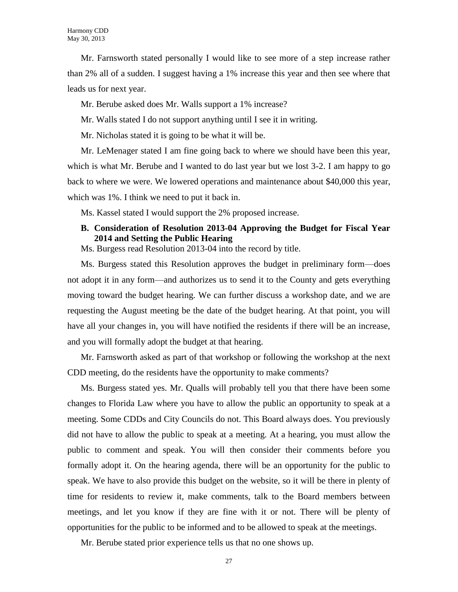Mr. Farnsworth stated personally I would like to see more of a step increase rather than 2% all of a sudden. I suggest having a 1% increase this year and then see where that leads us for next year.

Mr. Berube asked does Mr. Walls support a 1% increase?

Mr. Walls stated I do not support anything until I see it in writing.

Mr. Nicholas stated it is going to be what it will be.

Mr. LeMenager stated I am fine going back to where we should have been this year, which is what Mr. Berube and I wanted to do last year but we lost 3-2. I am happy to go back to where we were. We lowered operations and maintenance about \$40,000 this year, which was 1%. I think we need to put it back in.

Ms. Kassel stated I would support the 2% proposed increase.

### **B. Consideration of Resolution 2013-04 Approving the Budget for Fiscal Year 2014 and Setting the Public Hearing**

Ms. Burgess read Resolution 2013-04 into the record by title.

Ms. Burgess stated this Resolution approves the budget in preliminary form—does not adopt it in any form—and authorizes us to send it to the County and gets everything moving toward the budget hearing. We can further discuss a workshop date, and we are requesting the August meeting be the date of the budget hearing. At that point, you will have all your changes in, you will have notified the residents if there will be an increase, and you will formally adopt the budget at that hearing.

Mr. Farnsworth asked as part of that workshop or following the workshop at the next CDD meeting, do the residents have the opportunity to make comments?

Ms. Burgess stated yes. Mr. Qualls will probably tell you that there have been some changes to Florida Law where you have to allow the public an opportunity to speak at a meeting. Some CDDs and City Councils do not. This Board always does. You previously did not have to allow the public to speak at a meeting. At a hearing, you must allow the public to comment and speak. You will then consider their comments before you formally adopt it. On the hearing agenda, there will be an opportunity for the public to speak. We have to also provide this budget on the website, so it will be there in plenty of time for residents to review it, make comments, talk to the Board members between meetings, and let you know if they are fine with it or not. There will be plenty of opportunities for the public to be informed and to be allowed to speak at the meetings.

Mr. Berube stated prior experience tells us that no one shows up.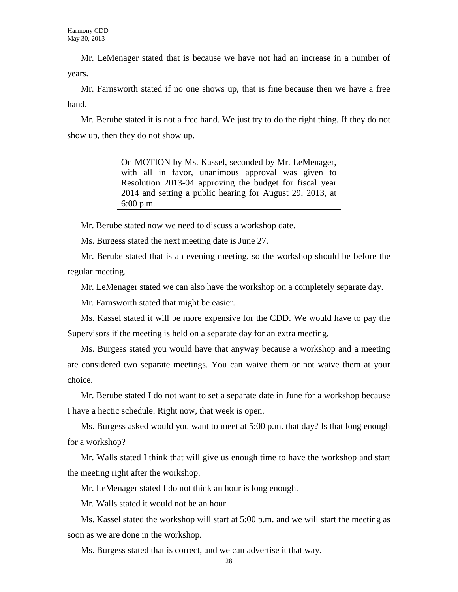Mr. LeMenager stated that is because we have not had an increase in a number of years.

Mr. Farnsworth stated if no one shows up, that is fine because then we have a free hand.

Mr. Berube stated it is not a free hand. We just try to do the right thing. If they do not show up, then they do not show up.

> On MOTION by Ms. Kassel, seconded by Mr. LeMenager, with all in favor, unanimous approval was given to Resolution 2013-04 approving the budget for fiscal year 2014 and setting a public hearing for August 29, 2013, at 6:00 p.m.

Mr. Berube stated now we need to discuss a workshop date.

Ms. Burgess stated the next meeting date is June 27.

Mr. Berube stated that is an evening meeting, so the workshop should be before the regular meeting.

Mr. LeMenager stated we can also have the workshop on a completely separate day.

Mr. Farnsworth stated that might be easier.

Ms. Kassel stated it will be more expensive for the CDD. We would have to pay the Supervisors if the meeting is held on a separate day for an extra meeting.

Ms. Burgess stated you would have that anyway because a workshop and a meeting are considered two separate meetings. You can waive them or not waive them at your choice.

Mr. Berube stated I do not want to set a separate date in June for a workshop because I have a hectic schedule. Right now, that week is open.

Ms. Burgess asked would you want to meet at 5:00 p.m. that day? Is that long enough for a workshop?

Mr. Walls stated I think that will give us enough time to have the workshop and start the meeting right after the workshop.

Mr. LeMenager stated I do not think an hour is long enough.

Mr. Walls stated it would not be an hour.

Ms. Kassel stated the workshop will start at 5:00 p.m. and we will start the meeting as soon as we are done in the workshop.

Ms. Burgess stated that is correct, and we can advertise it that way.

28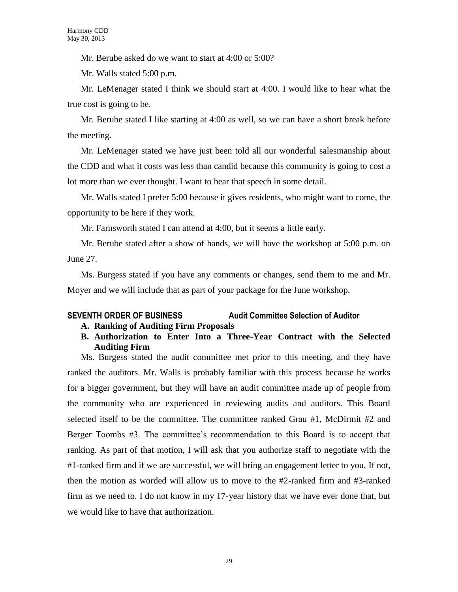Mr. Berube asked do we want to start at 4:00 or 5:00?

Mr. Walls stated 5:00 p.m.

Mr. LeMenager stated I think we should start at 4:00. I would like to hear what the true cost is going to be.

Mr. Berube stated I like starting at 4:00 as well, so we can have a short break before the meeting.

Mr. LeMenager stated we have just been told all our wonderful salesmanship about the CDD and what it costs was less than candid because this community is going to cost a lot more than we ever thought. I want to hear that speech in some detail.

Mr. Walls stated I prefer 5:00 because it gives residents, who might want to come, the opportunity to be here if they work.

Mr. Farnsworth stated I can attend at 4:00, but it seems a little early.

Mr. Berube stated after a show of hands, we will have the workshop at 5:00 p.m. on June 27.

Ms. Burgess stated if you have any comments or changes, send them to me and Mr. Moyer and we will include that as part of your package for the June workshop.

### **SEVENTH ORDER OF BUSINESS Audit Committee Selection of Auditor**

- **A. Ranking of Auditing Firm Proposals**
- **B. Authorization to Enter Into a Three-Year Contract with the Selected Auditing Firm**

Ms. Burgess stated the audit committee met prior to this meeting, and they have ranked the auditors. Mr. Walls is probably familiar with this process because he works for a bigger government, but they will have an audit committee made up of people from the community who are experienced in reviewing audits and auditors. This Board selected itself to be the committee. The committee ranked Grau #1, McDirmit #2 and Berger Toombs #3. The committee's recommendation to this Board is to accept that ranking. As part of that motion, I will ask that you authorize staff to negotiate with the #1-ranked firm and if we are successful, we will bring an engagement letter to you. If not, then the motion as worded will allow us to move to the #2-ranked firm and #3-ranked firm as we need to. I do not know in my 17-year history that we have ever done that, but we would like to have that authorization.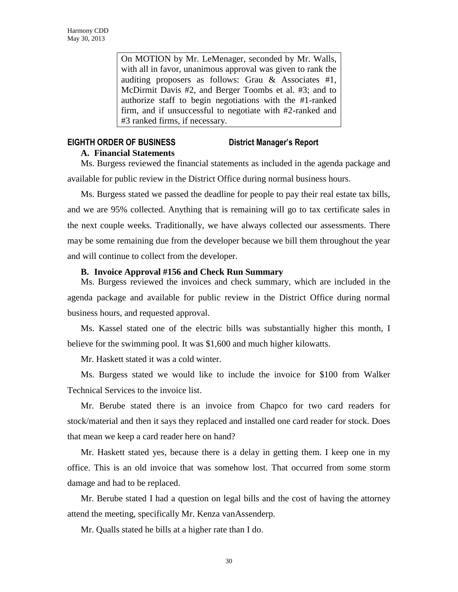On MOTION by Mr. LeMenager, seconded by Mr. Walls, with all in favor, unanimous approval was given to rank the auditing proposers as follows: Grau & Associates #1, McDirmit Davis #2, and Berger Toombs et al. #3; and to authorize staff to begin negotiations with the #1-ranked firm, and if unsuccessful to negotiate with #2-ranked and #3 ranked firms, if necessary.

### **EIGHTH ORDER OF BUSINESS District Manager's Report A. Financial Statements**

Ms. Burgess reviewed the financial statements as included in the agenda package and available for public review in the District Office during normal business hours.

Ms. Burgess stated we passed the deadline for people to pay their real estate tax bills, and we are 95% collected. Anything that is remaining will go to tax certificate sales in the next couple weeks. Traditionally, we have always collected our assessments. There may be some remaining due from the developer because we bill them throughout the year and will continue to collect from the developer.

### **B. Invoice Approval #156 and Check Run Summary**

Ms. Burgess reviewed the invoices and check summary, which are included in the agenda package and available for public review in the District Office during normal business hours, and requested approval.

Ms. Kassel stated one of the electric bills was substantially higher this month, I believe for the swimming pool. It was \$1,600 and much higher kilowatts.

Mr. Haskett stated it was a cold winter.

Ms. Burgess stated we would like to include the invoice for \$100 from Walker Technical Services to the invoice list.

Mr. Berube stated there is an invoice from Chapco for two card readers for stock/material and then it says they replaced and installed one card reader for stock. Does that mean we keep a card reader here on hand?

Mr. Haskett stated yes, because there is a delay in getting them. I keep one in my office. This is an old invoice that was somehow lost. That occurred from some storm damage and had to be replaced.

Mr. Berube stated I had a question on legal bills and the cost of having the attorney attend the meeting, specifically Mr. Kenza vanAssenderp.

Mr. Qualls stated he bills at a higher rate than I do.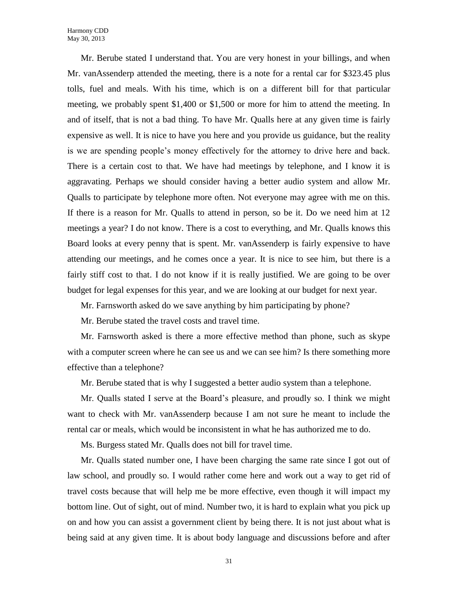Mr. Berube stated I understand that. You are very honest in your billings, and when Mr. vanAssenderp attended the meeting, there is a note for a rental car for \$323.45 plus tolls, fuel and meals. With his time, which is on a different bill for that particular meeting, we probably spent  $$1,400$  or  $$1,500$  or more for him to attend the meeting. In and of itself, that is not a bad thing. To have Mr. Qualls here at any given time is fairly expensive as well. It is nice to have you here and you provide us guidance, but the reality is we are spending people's money effectively for the attorney to drive here and back. There is a certain cost to that. We have had meetings by telephone, and I know it is aggravating. Perhaps we should consider having a better audio system and allow Mr. Qualls to participate by telephone more often. Not everyone may agree with me on this. If there is a reason for Mr. Qualls to attend in person, so be it. Do we need him at 12 meetings a year? I do not know. There is a cost to everything, and Mr. Qualls knows this Board looks at every penny that is spent. Mr. vanAssenderp is fairly expensive to have attending our meetings, and he comes once a year. It is nice to see him, but there is a fairly stiff cost to that. I do not know if it is really justified. We are going to be over budget for legal expenses for this year, and we are looking at our budget for next year.

Mr. Farnsworth asked do we save anything by him participating by phone?

Mr. Berube stated the travel costs and travel time.

Mr. Farnsworth asked is there a more effective method than phone, such as skype with a computer screen where he can see us and we can see him? Is there something more effective than a telephone?

Mr. Berube stated that is why I suggested a better audio system than a telephone.

Mr. Qualls stated I serve at the Board's pleasure, and proudly so. I think we might want to check with Mr. vanAssenderp because I am not sure he meant to include the rental car or meals, which would be inconsistent in what he has authorized me to do.

Ms. Burgess stated Mr. Qualls does not bill for travel time.

Mr. Qualls stated number one, I have been charging the same rate since I got out of law school, and proudly so. I would rather come here and work out a way to get rid of travel costs because that will help me be more effective, even though it will impact my bottom line. Out of sight, out of mind. Number two, it is hard to explain what you pick up on and how you can assist a government client by being there. It is not just about what is being said at any given time. It is about body language and discussions before and after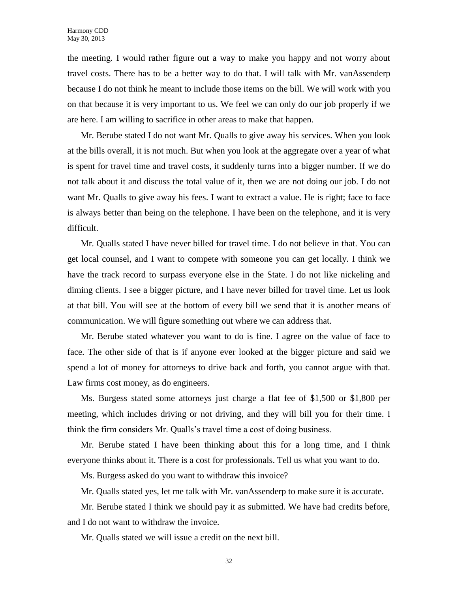the meeting. I would rather figure out a way to make you happy and not worry about travel costs. There has to be a better way to do that. I will talk with Mr. vanAssenderp because I do not think he meant to include those items on the bill. We will work with you on that because it is very important to us. We feel we can only do our job properly if we are here. I am willing to sacrifice in other areas to make that happen.

Mr. Berube stated I do not want Mr. Qualls to give away his services. When you look at the bills overall, it is not much. But when you look at the aggregate over a year of what is spent for travel time and travel costs, it suddenly turns into a bigger number. If we do not talk about it and discuss the total value of it, then we are not doing our job. I do not want Mr. Qualls to give away his fees. I want to extract a value. He is right; face to face is always better than being on the telephone. I have been on the telephone, and it is very difficult.

Mr. Qualls stated I have never billed for travel time. I do not believe in that. You can get local counsel, and I want to compete with someone you can get locally. I think we have the track record to surpass everyone else in the State. I do not like nickeling and diming clients. I see a bigger picture, and I have never billed for travel time. Let us look at that bill. You will see at the bottom of every bill we send that it is another means of communication. We will figure something out where we can address that.

Mr. Berube stated whatever you want to do is fine. I agree on the value of face to face. The other side of that is if anyone ever looked at the bigger picture and said we spend a lot of money for attorneys to drive back and forth, you cannot argue with that. Law firms cost money, as do engineers.

Ms. Burgess stated some attorneys just charge a flat fee of \$1,500 or \$1,800 per meeting, which includes driving or not driving, and they will bill you for their time. I think the firm considers Mr. Qualls's travel time a cost of doing business.

Mr. Berube stated I have been thinking about this for a long time, and I think everyone thinks about it. There is a cost for professionals. Tell us what you want to do.

Ms. Burgess asked do you want to withdraw this invoice?

Mr. Qualls stated yes, let me talk with Mr. vanAssenderp to make sure it is accurate.

Mr. Berube stated I think we should pay it as submitted. We have had credits before, and I do not want to withdraw the invoice.

Mr. Qualls stated we will issue a credit on the next bill.

32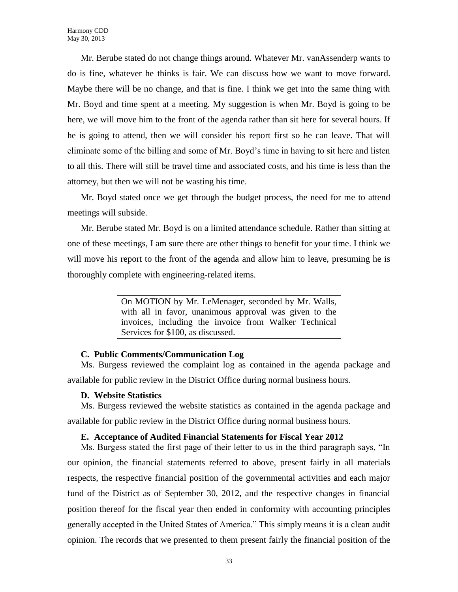Mr. Berube stated do not change things around. Whatever Mr. vanAssenderp wants to do is fine, whatever he thinks is fair. We can discuss how we want to move forward. Maybe there will be no change, and that is fine. I think we get into the same thing with Mr. Boyd and time spent at a meeting. My suggestion is when Mr. Boyd is going to be here, we will move him to the front of the agenda rather than sit here for several hours. If he is going to attend, then we will consider his report first so he can leave. That will eliminate some of the billing and some of Mr. Boyd's time in having to sit here and listen to all this. There will still be travel time and associated costs, and his time is less than the attorney, but then we will not be wasting his time.

Mr. Boyd stated once we get through the budget process, the need for me to attend meetings will subside.

Mr. Berube stated Mr. Boyd is on a limited attendance schedule. Rather than sitting at one of these meetings, I am sure there are other things to benefit for your time. I think we will move his report to the front of the agenda and allow him to leave, presuming he is thoroughly complete with engineering-related items.

> On MOTION by Mr. LeMenager, seconded by Mr. Walls, with all in favor, unanimous approval was given to the invoices, including the invoice from Walker Technical Services for \$100, as discussed.

### **C. Public Comments/Communication Log**

Ms. Burgess reviewed the complaint log as contained in the agenda package and available for public review in the District Office during normal business hours.

### **D. Website Statistics**

Ms. Burgess reviewed the website statistics as contained in the agenda package and available for public review in the District Office during normal business hours.

### **E. Acceptance of Audited Financial Statements for Fiscal Year 2012**

Ms. Burgess stated the first page of their letter to us in the third paragraph says, "In our opinion, the financial statements referred to above, present fairly in all materials respects, the respective financial position of the governmental activities and each major fund of the District as of September 30, 2012, and the respective changes in financial position thereof for the fiscal year then ended in conformity with accounting principles generally accepted in the United States of America." This simply means it is a clean audit opinion. The records that we presented to them present fairly the financial position of the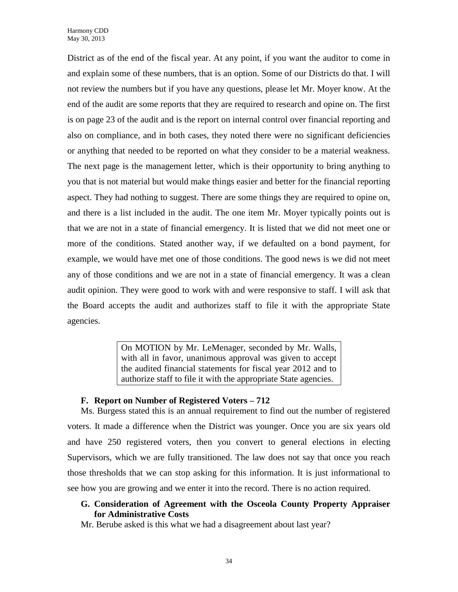District as of the end of the fiscal year. At any point, if you want the auditor to come in and explain some of these numbers, that is an option. Some of our Districts do that. I will not review the numbers but if you have any questions, please let Mr. Moyer know. At the end of the audit are some reports that they are required to research and opine on. The first is on page 23 of the audit and is the report on internal control over financial reporting and also on compliance, and in both cases, they noted there were no significant deficiencies or anything that needed to be reported on what they consider to be a material weakness. The next page is the management letter, which is their opportunity to bring anything to you that is not material but would make things easier and better for the financial reporting aspect. They had nothing to suggest. There are some things they are required to opine on, and there is a list included in the audit. The one item Mr. Moyer typically points out is that we are not in a state of financial emergency. It is listed that we did not meet one or more of the conditions. Stated another way, if we defaulted on a bond payment, for example, we would have met one of those conditions. The good news is we did not meet any of those conditions and we are not in a state of financial emergency. It was a clean audit opinion. They were good to work with and were responsive to staff. I will ask that the Board accepts the audit and authorizes staff to file it with the appropriate State agencies.

> On MOTION by Mr. LeMenager, seconded by Mr. Walls, with all in favor, unanimous approval was given to accept the audited financial statements for fiscal year 2012 and to authorize staff to file it with the appropriate State agencies.

### **F. Report on Number of Registered Voters – 712**

Ms. Burgess stated this is an annual requirement to find out the number of registered voters. It made a difference when the District was younger. Once you are six years old and have 250 registered voters, then you convert to general elections in electing Supervisors, which we are fully transitioned. The law does not say that once you reach those thresholds that we can stop asking for this information. It is just informational to see how you are growing and we enter it into the record. There is no action required.

### **G. Consideration of Agreement with the Osceola County Property Appraiser for Administrative Costs**

Mr. Berube asked is this what we had a disagreement about last year?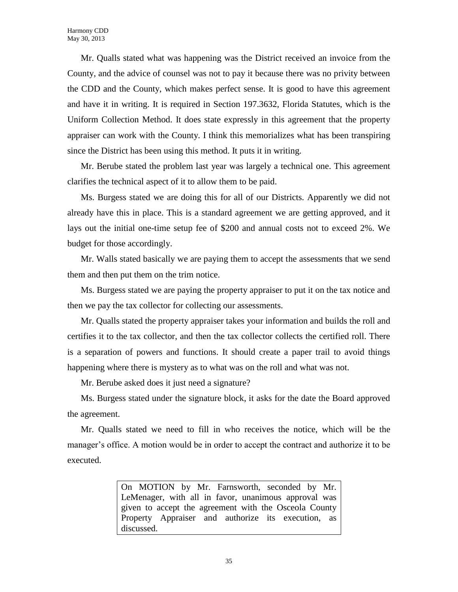Mr. Qualls stated what was happening was the District received an invoice from the County, and the advice of counsel was not to pay it because there was no privity between the CDD and the County, which makes perfect sense. It is good to have this agreement and have it in writing. It is required in Section 197.3632, Florida Statutes, which is the Uniform Collection Method. It does state expressly in this agreement that the property appraiser can work with the County. I think this memorializes what has been transpiring since the District has been using this method. It puts it in writing.

Mr. Berube stated the problem last year was largely a technical one. This agreement clarifies the technical aspect of it to allow them to be paid.

Ms. Burgess stated we are doing this for all of our Districts. Apparently we did not already have this in place. This is a standard agreement we are getting approved, and it lays out the initial one-time setup fee of \$200 and annual costs not to exceed 2%. We budget for those accordingly.

Mr. Walls stated basically we are paying them to accept the assessments that we send them and then put them on the trim notice.

Ms. Burgess stated we are paying the property appraiser to put it on the tax notice and then we pay the tax collector for collecting our assessments.

Mr. Qualls stated the property appraiser takes your information and builds the roll and certifies it to the tax collector, and then the tax collector collects the certified roll. There is a separation of powers and functions. It should create a paper trail to avoid things happening where there is mystery as to what was on the roll and what was not.

Mr. Berube asked does it just need a signature?

Ms. Burgess stated under the signature block, it asks for the date the Board approved the agreement.

Mr. Qualls stated we need to fill in who receives the notice, which will be the manager's office. A motion would be in order to accept the contract and authorize it to be executed.

> On MOTION by Mr. Farnsworth, seconded by Mr. LeMenager, with all in favor, unanimous approval was given to accept the agreement with the Osceola County Property Appraiser and authorize its execution, as discussed.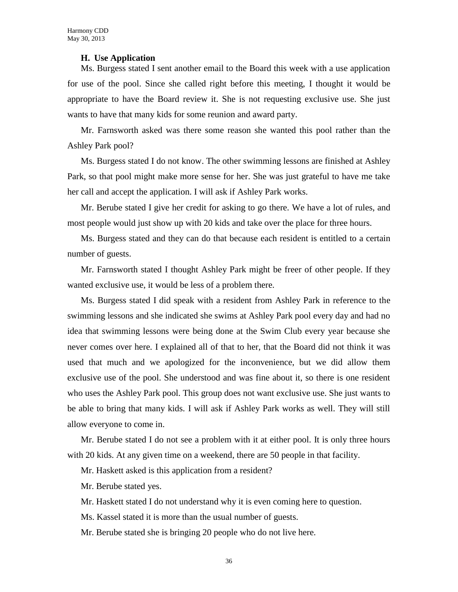### **H. Use Application**

Ms. Burgess stated I sent another email to the Board this week with a use application for use of the pool. Since she called right before this meeting, I thought it would be appropriate to have the Board review it. She is not requesting exclusive use. She just wants to have that many kids for some reunion and award party.

Mr. Farnsworth asked was there some reason she wanted this pool rather than the Ashley Park pool?

Ms. Burgess stated I do not know. The other swimming lessons are finished at Ashley Park, so that pool might make more sense for her. She was just grateful to have me take her call and accept the application. I will ask if Ashley Park works.

Mr. Berube stated I give her credit for asking to go there. We have a lot of rules, and most people would just show up with 20 kids and take over the place for three hours.

Ms. Burgess stated and they can do that because each resident is entitled to a certain number of guests.

Mr. Farnsworth stated I thought Ashley Park might be freer of other people. If they wanted exclusive use, it would be less of a problem there.

Ms. Burgess stated I did speak with a resident from Ashley Park in reference to the swimming lessons and she indicated she swims at Ashley Park pool every day and had no idea that swimming lessons were being done at the Swim Club every year because she never comes over here. I explained all of that to her, that the Board did not think it was used that much and we apologized for the inconvenience, but we did allow them exclusive use of the pool. She understood and was fine about it, so there is one resident who uses the Ashley Park pool. This group does not want exclusive use. She just wants to be able to bring that many kids. I will ask if Ashley Park works as well. They will still allow everyone to come in.

Mr. Berube stated I do not see a problem with it at either pool. It is only three hours with 20 kids. At any given time on a weekend, there are 50 people in that facility.

Mr. Haskett asked is this application from a resident?

Mr. Berube stated yes.

Mr. Haskett stated I do not understand why it is even coming here to question.

Ms. Kassel stated it is more than the usual number of guests.

Mr. Berube stated she is bringing 20 people who do not live here.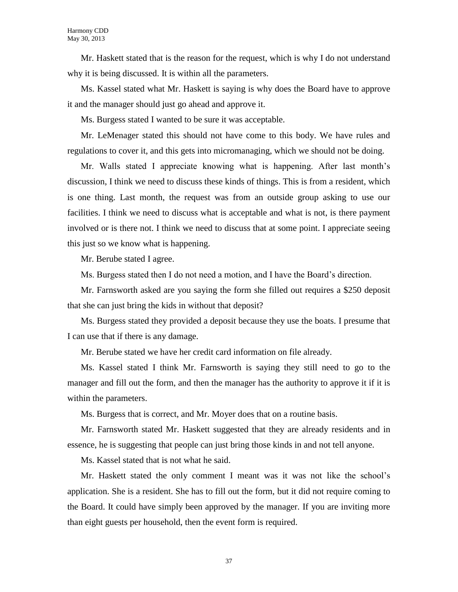Mr. Haskett stated that is the reason for the request, which is why I do not understand why it is being discussed. It is within all the parameters.

Ms. Kassel stated what Mr. Haskett is saying is why does the Board have to approve it and the manager should just go ahead and approve it.

Ms. Burgess stated I wanted to be sure it was acceptable.

Mr. LeMenager stated this should not have come to this body. We have rules and regulations to cover it, and this gets into micromanaging, which we should not be doing.

Mr. Walls stated I appreciate knowing what is happening. After last month's discussion, I think we need to discuss these kinds of things. This is from a resident, which is one thing. Last month, the request was from an outside group asking to use our facilities. I think we need to discuss what is acceptable and what is not, is there payment involved or is there not. I think we need to discuss that at some point. I appreciate seeing this just so we know what is happening.

Mr. Berube stated I agree.

Ms. Burgess stated then I do not need a motion, and I have the Board's direction.

Mr. Farnsworth asked are you saying the form she filled out requires a \$250 deposit that she can just bring the kids in without that deposit?

Ms. Burgess stated they provided a deposit because they use the boats. I presume that I can use that if there is any damage.

Mr. Berube stated we have her credit card information on file already.

Ms. Kassel stated I think Mr. Farnsworth is saying they still need to go to the manager and fill out the form, and then the manager has the authority to approve it if it is within the parameters.

Ms. Burgess that is correct, and Mr. Moyer does that on a routine basis.

Mr. Farnsworth stated Mr. Haskett suggested that they are already residents and in essence, he is suggesting that people can just bring those kinds in and not tell anyone.

Ms. Kassel stated that is not what he said.

Mr. Haskett stated the only comment I meant was it was not like the school's application. She is a resident. She has to fill out the form, but it did not require coming to the Board. It could have simply been approved by the manager. If you are inviting more than eight guests per household, then the event form is required.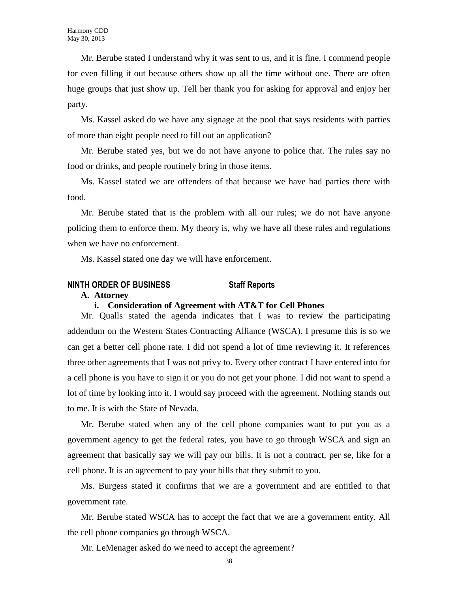Mr. Berube stated I understand why it was sent to us, and it is fine. I commend people for even filling it out because others show up all the time without one. There are often huge groups that just show up. Tell her thank you for asking for approval and enjoy her party.

Ms. Kassel asked do we have any signage at the pool that says residents with parties of more than eight people need to fill out an application?

Mr. Berube stated yes, but we do not have anyone to police that. The rules say no food or drinks, and people routinely bring in those items.

Ms. Kassel stated we are offenders of that because we have had parties there with food.

Mr. Berube stated that is the problem with all our rules; we do not have anyone policing them to enforce them. My theory is, why we have all these rules and regulations when we have no enforcement.

Ms. Kassel stated one day we will have enforcement.

### **NINTH ORDER OF BUSINESS Staff Reports**

**A. Attorney**

### **i. Consideration of Agreement with AT&T for Cell Phones**

Mr. Qualls stated the agenda indicates that I was to review the participating addendum on the Western States Contracting Alliance (WSCA). I presume this is so we can get a better cell phone rate. I did not spend a lot of time reviewing it. It references three other agreements that I was not privy to. Every other contract I have entered into for a cell phone is you have to sign it or you do not get your phone. I did not want to spend a lot of time by looking into it. I would say proceed with the agreement. Nothing stands out to me. It is with the State of Nevada.

Mr. Berube stated when any of the cell phone companies want to put you as a government agency to get the federal rates, you have to go through WSCA and sign an agreement that basically say we will pay our bills. It is not a contract, per se, like for a cell phone. It is an agreement to pay your bills that they submit to you.

Ms. Burgess stated it confirms that we are a government and are entitled to that government rate.

Mr. Berube stated WSCA has to accept the fact that we are a government entity. All the cell phone companies go through WSCA.

Mr. LeMenager asked do we need to accept the agreement?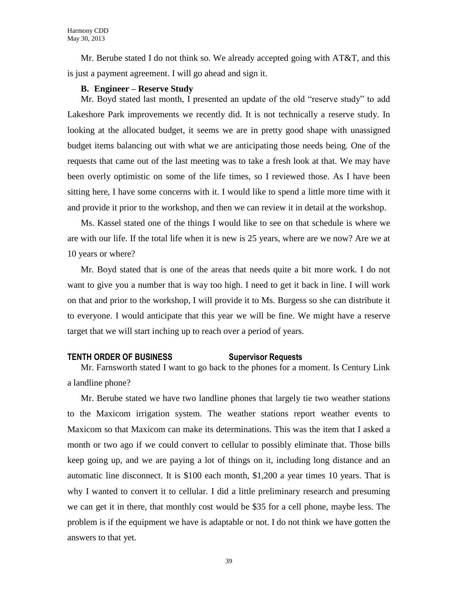Mr. Berube stated I do not think so. We already accepted going with AT&T, and this is just a payment agreement. I will go ahead and sign it.

### **B. Engineer – Reserve Study**

Mr. Boyd stated last month, I presented an update of the old "reserve study" to add Lakeshore Park improvements we recently did. It is not technically a reserve study. In looking at the allocated budget, it seems we are in pretty good shape with unassigned budget items balancing out with what we are anticipating those needs being. One of the requests that came out of the last meeting was to take a fresh look at that. We may have been overly optimistic on some of the life times, so I reviewed those. As I have been sitting here, I have some concerns with it. I would like to spend a little more time with it and provide it prior to the workshop, and then we can review it in detail at the workshop.

Ms. Kassel stated one of the things I would like to see on that schedule is where we are with our life. If the total life when it is new is 25 years, where are we now? Are we at 10 years or where?

Mr. Boyd stated that is one of the areas that needs quite a bit more work. I do not want to give you a number that is way too high. I need to get it back in line. I will work on that and prior to the workshop, I will provide it to Ms. Burgess so she can distribute it to everyone. I would anticipate that this year we will be fine. We might have a reserve target that we will start inching up to reach over a period of years.

### **TENTH ORDER OF BUSINESS Supervisor Requests**

Mr. Farnsworth stated I want to go back to the phones for a moment. Is Century Link a landline phone?

Mr. Berube stated we have two landline phones that largely tie two weather stations to the Maxicom irrigation system. The weather stations report weather events to Maxicom so that Maxicom can make its determinations. This was the item that I asked a month or two ago if we could convert to cellular to possibly eliminate that. Those bills keep going up, and we are paying a lot of things on it, including long distance and an automatic line disconnect. It is \$100 each month, \$1,200 a year times 10 years. That is why I wanted to convert it to cellular. I did a little preliminary research and presuming we can get it in there, that monthly cost would be \$35 for a cell phone, maybe less. The problem is if the equipment we have is adaptable or not. I do not think we have gotten the answers to that yet.